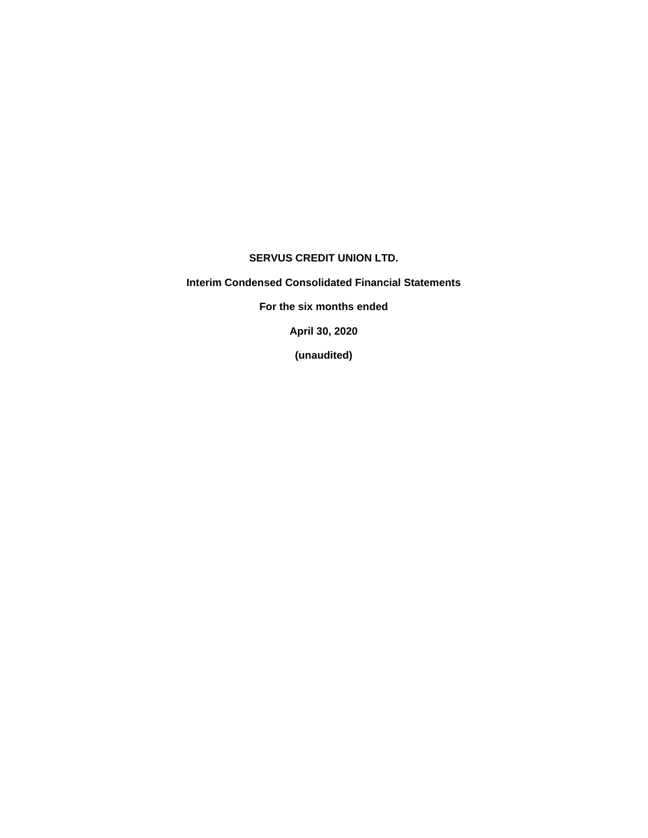## **SERVUS CREDIT UNION LTD.**

**Interim Condensed Consolidated Financial Statements**

**For the six months ended**

**April 30, 2020**

**(unaudited)**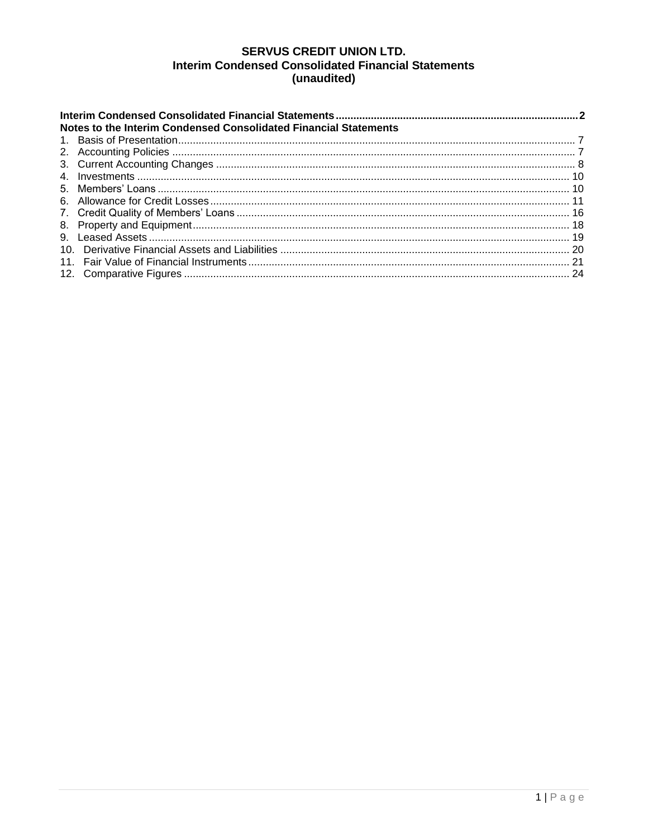# **SERVUS CREDIT UNION LTD. Interim Condensed Consolidated Financial Statements** (unaudited)

| Notes to the Interim Condensed Consolidated Financial Statements |  |
|------------------------------------------------------------------|--|
|                                                                  |  |
|                                                                  |  |
|                                                                  |  |
|                                                                  |  |
|                                                                  |  |
|                                                                  |  |
|                                                                  |  |
|                                                                  |  |
|                                                                  |  |
|                                                                  |  |
|                                                                  |  |
|                                                                  |  |
|                                                                  |  |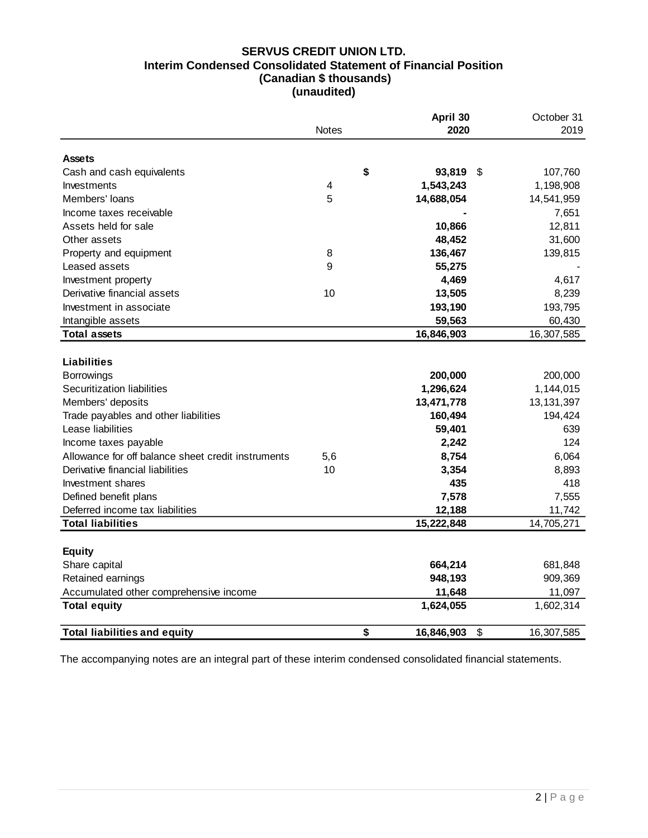# **SERVUS CREDIT UNION LTD. Interim Condensed Consolidated Statement of Financial Position (Canadian \$ thousands) (unaudited)**

|                                                    | <b>Notes</b>            | April 30<br>2020 | October 31<br>2019 |
|----------------------------------------------------|-------------------------|------------------|--------------------|
|                                                    |                         |                  |                    |
| <b>Assets</b>                                      |                         | \$               | \$                 |
| Cash and cash equivalents                          |                         | 93,819           | 107,760            |
| Investments<br>Members' loans                      | $\overline{\mathbf{4}}$ | 1,543,243        | 1,198,908          |
|                                                    | 5                       | 14,688,054       | 14,541,959         |
| Income taxes receivable                            |                         |                  | 7,651              |
| Assets held for sale                               |                         | 10,866           | 12,811             |
| Other assets                                       |                         | 48,452           | 31,600             |
| Property and equipment                             | 8                       | 136,467          | 139,815            |
| Leased assets                                      | 9                       | 55,275           |                    |
| Investment property                                |                         | 4,469            | 4,617              |
| Derivative financial assets                        | 10                      | 13,505           | 8,239              |
| Investment in associate                            |                         | 193,190          | 193,795            |
| Intangible assets                                  |                         | 59,563           | 60,430             |
| <b>Total assets</b>                                |                         | 16,846,903       | 16,307,585         |
|                                                    |                         |                  |                    |
| Liabilities                                        |                         |                  |                    |
| <b>Borrowings</b>                                  |                         | 200,000          | 200,000            |
| Securitization liabilities                         |                         | 1,296,624        | 1,144,015          |
| Members' deposits                                  |                         | 13,471,778       | 13, 131, 397       |
| Trade payables and other liabilities               |                         | 160,494          | 194,424            |
| Lease liabilities                                  |                         | 59,401           | 639                |
| Income taxes payable                               |                         | 2,242            | 124                |
| Allowance for off balance sheet credit instruments | 5,6                     | 8,754            | 6,064              |
| Derivative financial liabilities                   | 10                      | 3,354            | 8,893              |
| Investment shares                                  |                         | 435              | 418                |
| Defined benefit plans                              |                         | 7,578            | 7,555              |
| Deferred income tax liabilities                    |                         | 12,188           | 11,742             |
| <b>Total liabilities</b>                           |                         | 15,222,848       | 14,705,271         |
|                                                    |                         |                  |                    |
| <b>Equity</b>                                      |                         |                  |                    |
| Share capital                                      |                         | 664,214          | 681,848            |
| Retained earnings                                  |                         | 948,193          | 909,369            |
| Accumulated other comprehensive income             |                         | 11,648           | 11,097             |
| <b>Total equity</b>                                |                         | 1,624,055        | 1,602,314          |
| <b>Total liabilities and equity</b>                |                         | \$<br>16,846,903 | \$<br>16,307,585   |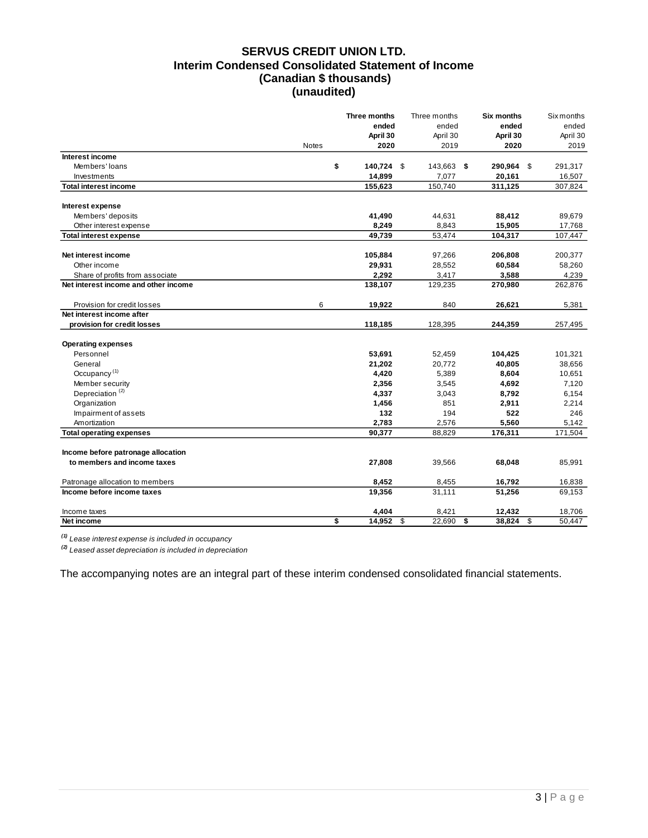# **SERVUS CREDIT UNION LTD. Interim Condensed Consolidated Statement of Income (Canadian \$ thousands) (unaudited)**

|                                      |              | Three months | Three months | Six months   | Six months   |
|--------------------------------------|--------------|--------------|--------------|--------------|--------------|
|                                      |              | ended        | ended        | ended        | ended        |
|                                      |              | April 30     | April 30     | April 30     | April 30     |
|                                      | <b>Notes</b> | 2020         | 2019         | 2020         | 2019         |
| Interest income                      |              |              |              |              |              |
| Members' loans                       | \$           | 140,724 \$   | 143,663 \$   | 290,964 \$   | 291,317      |
| Investments                          |              | 14,899       | 7,077        | 20,161       | 16,507       |
| <b>Total interest income</b>         |              | 155,623      | 150,740      | 311,125      | 307,824      |
| Interest expense                     |              |              |              |              |              |
| Members' deposits                    |              | 41,490       | 44,631       | 88,412       | 89,679       |
| Other interest expense               |              | 8,249        | 8,843        | 15,905       | 17,768       |
| <b>Total interest expense</b>        |              | 49,739       | 53,474       | 104,317      | 107,447      |
| Net interest income                  |              | 105,884      | 97,266       | 206,808      | 200,377      |
| Other income                         |              | 29,931       | 28,552       | 60,584       | 58,260       |
| Share of profits from associate      |              | 2,292        | 3,417        | 3,588        | 4,239        |
| Net interest income and other income |              | 138,107      | 129,235      | 270,980      | 262,876      |
| Provision for credit losses          | 6            | 19,922       | 840          | 26,621       | 5,381        |
| Net interest income after            |              |              |              |              |              |
| provision for credit losses          |              | 118,185      | 128,395      | 244,359      | 257,495      |
| <b>Operating expenses</b>            |              |              |              |              |              |
| Personnel                            |              | 53,691       | 52,459       | 104,425      | 101,321      |
| General                              |              | 21,202       | 20,772       | 40,805       | 38,656       |
| Occupancy <sup>(1)</sup>             |              | 4,420        | 5,389        | 8,604        | 10,651       |
| Member security                      |              | 2,356        | 3,545        | 4,692        | 7,120        |
| Depreciation <sup>(2)</sup>          |              | 4,337        | 3,043        | 8,792        | 6,154        |
| Organization                         |              | 1,456        | 851          | 2,911        | 2,214        |
| Impairment of assets                 |              | 132          | 194          | 522          | 246          |
| Amortization                         |              | 2,783        | 2,576        | 5,560        | 5,142        |
| <b>Total operating expenses</b>      |              | 90.377       | 88,829       | 176,311      | 171,504      |
| Income before patronage allocation   |              |              |              |              |              |
| to members and income taxes          |              | 27,808       | 39,566       | 68,048       | 85,991       |
|                                      |              |              |              |              |              |
| Patronage allocation to members      |              | 8,452        | 8,455        | 16,792       | 16,838       |
| Income before income taxes           |              | 19,356       | 31,111       | 51,256       | 69,153       |
| Income taxes                         |              | 4,404        | 8,421        | 12,432       | 18,706       |
| Net income                           | \$           | 14,952       | \$<br>22,690 | \$<br>38,824 | \$<br>50,447 |

*(1) Lease interest expense is included in occupancy*

*(2) Leased asset depreciation is included in depreciation*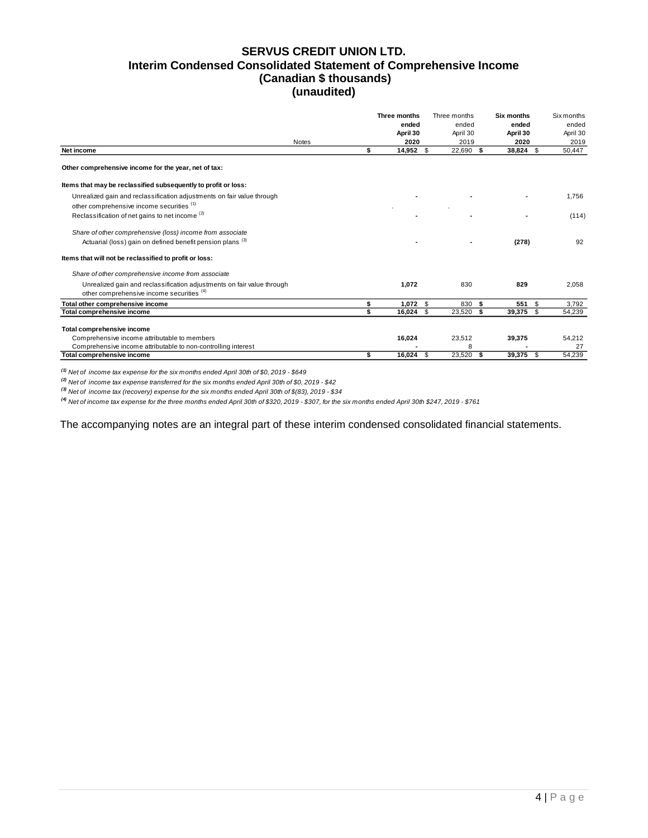## **SERVUS CREDIT UNION LTD. Interim Condensed Consolidated Statement of Comprehensive Income (Canadian \$ thousands) (unaudited)**

|                                                                                                                                    | Three months<br>ended<br>April 30 | Three months<br>ended<br>April 30 |      | Six months<br>ended<br>April 30 | <b>Six months</b><br>ended<br>April 30 |
|------------------------------------------------------------------------------------------------------------------------------------|-----------------------------------|-----------------------------------|------|---------------------------------|----------------------------------------|
| <b>Notes</b>                                                                                                                       | 2020                              | 2019                              |      | 2020                            | 2019                                   |
| Net income                                                                                                                         | \$<br>14,952 \$                   | 22,690 \$                         |      | 38,824<br>\$                    | 50,447                                 |
| Other comprehensive income for the year, net of tax:                                                                               |                                   |                                   |      |                                 |                                        |
| Items that may be reclassified subsequently to profit or loss:                                                                     |                                   |                                   |      |                                 |                                        |
| Unrealized gain and reclassification adjustments on fair value through<br>other comprehensive income securities (1)                |                                   |                                   |      |                                 | 1,756                                  |
| Reclassification of net gains to net income <sup>(2)</sup>                                                                         |                                   |                                   |      |                                 | (114)                                  |
| Share of other comprehensive (loss) income from associate<br>Actuarial (loss) gain on defined benefit pension plans <sup>(3)</sup> |                                   |                                   |      | (278)                           | 92                                     |
| Items that will not be reclassified to profit or loss:                                                                             |                                   |                                   |      |                                 |                                        |
|                                                                                                                                    |                                   |                                   |      |                                 |                                        |
| Share of other comprehensive income from associate                                                                                 |                                   |                                   |      |                                 |                                        |
| Unrealized gain and reclassification adjustments on fair value through<br>other comprehensive income securities (4)                | 1.072                             | 830                               |      | 829                             | 2,058                                  |
| Total other comprehensive income                                                                                                   | \$<br>$1,072$ \$                  | 830                               | -\$  | 551<br>\$                       | 3,792                                  |
| Total comprehensive income                                                                                                         | \$<br>$16,024$ \$                 | 23,520                            | - \$ | 39,375<br>\$                    | 54,239                                 |
| Total comprehensive income                                                                                                         |                                   |                                   |      |                                 |                                        |
| Comprehensive income attributable to members                                                                                       | 16,024                            | 23,512                            |      | 39,375                          | 54,212                                 |
| Comprehensive income attributable to non-controlling interest                                                                      |                                   | 8                                 |      |                                 | 27                                     |
| Total comprehensive income                                                                                                         | \$<br>$16.024$ \$                 | 23,520                            | - \$ | 39.375<br><b>S</b>              | 54.239                                 |

*(1) Net of income tax expense for the six months ended April 30th of \$0, 2019 - \$649*

*(2) Net of income tax expense transferred for the six months ended April 30th of \$0, 2019 - \$42*

*(3) Net of income tax (recovery) expense for the six months ended April 30th of \$(83), 2019 - \$34*

*(4) Net of income tax expense for the three months ended April 30th of \$320, 2019 - \$307, for the six months ended April 30th \$247, 2019 - \$761*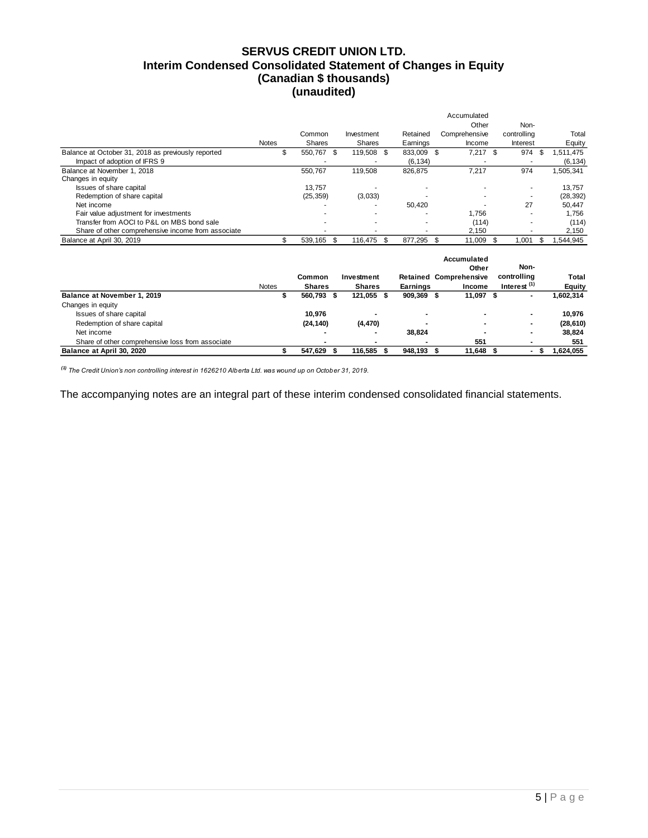### **SERVUS CREDIT UNION LTD. Interim Condensed Consolidated Statement of Changes in Equity (Canadian \$ thousands) (unaudited)**

|                                                    |              |           |                |      |          | Accumulated   |             |                |
|----------------------------------------------------|--------------|-----------|----------------|------|----------|---------------|-------------|----------------|
|                                                    |              |           |                |      |          | Other         | Non-        |                |
|                                                    |              | Common    | Investment     |      | Retained | Comprehensive | controlling | Total          |
|                                                    | <b>Notes</b> | Shares    | Shares         |      | Earnings | Income        | Interest    | Equity         |
| Balance at October 31, 2018 as previously reported | \$.          | 550.767   | 119.508<br>\$. | - \$ | 833.009  | 7,217<br>-\$  | 974<br>- \$ | S<br>1.511.475 |
| Impact of adoption of IFRS 9                       |              |           |                |      | (6.134)  |               |             | (6, 134)       |
| Balance at November 1, 2018                        |              | 550.767   | 119.508        |      | 826.875  | 7.217         | 974         | 1,505,341      |
| Changes in equity                                  |              |           |                |      |          |               |             |                |
| Issues of share capital                            |              | 13.757    |                |      |          |               |             | 13.757         |
| Redemption of share capital                        |              | (25, 359) | (3,033)        |      |          |               |             | (28, 392)      |
| Net income                                         |              |           |                |      | 50.420   |               | 27          | 50.447         |
| Fair value adjustment for investments              |              |           |                |      |          | 1.756         |             | 1.756          |
| Transfer from AOCI to P&L on MBS bond sale         |              |           |                |      |          | (114)         |             | (114)          |
| Share of other comprehensive income from associate |              |           |                |      |          | 2.150         |             | 2,150          |
| Balance at April 30, 2019                          |              | 539.165   | \$<br>116.475  | \$   | 877.295  | 11.009<br>\$  | 1.001       | .544.945<br>\$ |

|                                                  |              |               |               |     |                 |      | Accumulated<br>Other          | Non-                    |               |
|--------------------------------------------------|--------------|---------------|---------------|-----|-----------------|------|-------------------------------|-------------------------|---------------|
|                                                  |              | Common        | Investment    |     |                 |      | <b>Retained Comprehensive</b> | controlling             | Total         |
|                                                  | <b>Notes</b> | <b>Shares</b> | <b>Shares</b> |     | <b>Earnings</b> |      | Income                        | Interest <sup>(1)</sup> | <b>Equity</b> |
| Balance at November 1, 2019                      |              | 560.793 \$    | 121.055       | - 5 | 909.369         | - \$ | 11.097 \$                     |                         | 1,602,314     |
| Changes in equity                                |              |               |               |     |                 |      |                               |                         |               |
| Issues of share capital                          |              | 10.976        |               |     |                 |      |                               |                         | 10.976        |
| Redemption of share capital                      |              | (24, 140)     | (4, 470)      |     |                 |      | $\overline{\phantom{a}}$      |                         | (28, 610)     |
| Net income                                       |              |               |               |     | 38.824          |      |                               |                         | 38.824        |
| Share of other comprehensive loss from associate |              |               |               |     |                 |      | 551                           |                         | 551           |
| Balance at April 30, 2020                        |              | 547.629       | 116.585       |     | 948.193         |      | 11.648                        | ъ                       | 1,624,055     |

*(1) The Credit Union's non controlling interest in 1626210 Alberta Ltd. was wound up on October 31, 2019.*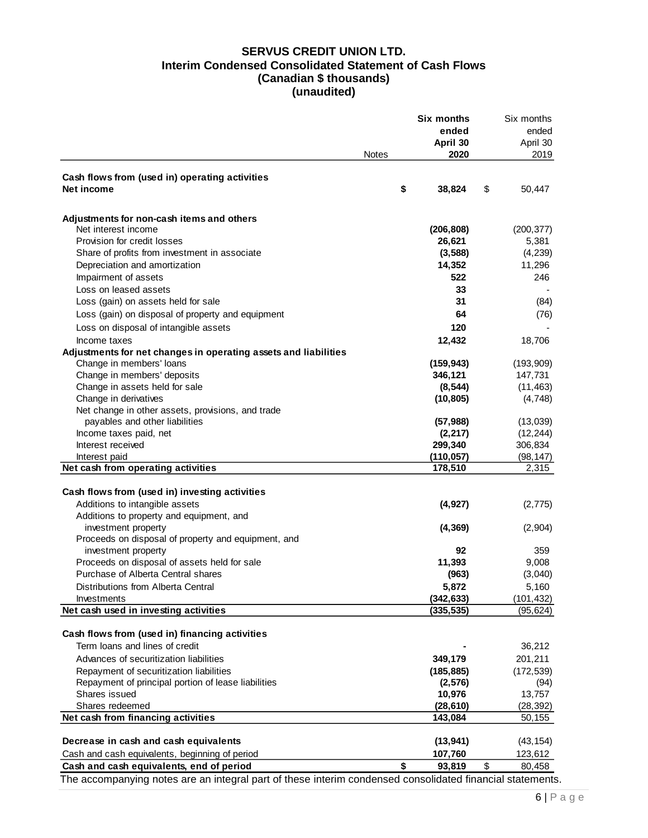# **SERVUS CREDIT UNION LTD. Interim Condensed Consolidated Statement of Cash Flows (Canadian \$ thousands) (unaudited)**

|                                                                 |       | Six months         | Six months     |
|-----------------------------------------------------------------|-------|--------------------|----------------|
|                                                                 |       | ended              | ended          |
|                                                                 |       | April 30           | April 30       |
|                                                                 | Notes | 2020               | 2019           |
|                                                                 |       |                    |                |
| Cash flows from (used in) operating activities<br>Net income    | \$    | 38,824             | \$<br>50,447   |
|                                                                 |       |                    |                |
| Adjustments for non-cash items and others                       |       |                    |                |
| Net interest income                                             |       | (206, 808)         | (200, 377)     |
| Provision for credit losses                                     |       | 26,621             | 5,381          |
| Share of profits from investment in associate                   |       | (3, 588)           | (4,239)        |
| Depreciation and amortization                                   |       | 14,352             | 11,296         |
| Impairment of assets                                            |       | 522                | 246            |
| Loss on leased assets                                           |       | 33                 |                |
| Loss (gain) on assets held for sale                             |       | 31                 | (84)           |
| Loss (gain) on disposal of property and equipment               |       | 64                 | (76)           |
| Loss on disposal of intangible assets                           |       | 120                |                |
| Income taxes                                                    |       | 12,432             | 18,706         |
| Adjustments for net changes in operating assets and liabilities |       |                    |                |
| Change in members' loans                                        |       | (159, 943)         | (193,909)      |
| Change in members' deposits                                     |       | 346,121            | 147,731        |
| Change in assets held for sale                                  |       | (8, 544)           | (11, 463)      |
| Change in derivatives                                           |       | (10, 805)          | (4,748)        |
| Net change in other assets, provisions, and trade               |       |                    |                |
| payables and other liabilities                                  |       | (57, 988)          | (13,039)       |
| Income taxes paid, net                                          |       | (2, 217)           | (12, 244)      |
| Interest received                                               |       | 299,340            | 306,834        |
| Interest paid                                                   |       | (110, 057)         | (98, 147)      |
| Net cash from operating activities                              |       | 178,510            | 2,315          |
| Cash flows from (used in) investing activities                  |       |                    |                |
| Additions to intangible assets                                  |       | (4, 927)           | (2, 775)       |
| Additions to property and equipment, and                        |       |                    |                |
| investment property                                             |       | (4, 369)           | (2,904)        |
| Proceeds on disposal of property and equipment, and             |       |                    |                |
| investment property                                             |       | 92                 | 359            |
| Proceeds on disposal of assets held for sale                    |       | 11,393             | 9,008          |
| Purchase of Alberta Central shares                              |       | (963)              | (3,040)        |
| Distributions from Alberta Central                              |       | 5,872              | 5,160          |
| Investments                                                     |       | (342, 633)         | (101, 432)     |
| Net cash used in investing activities                           |       | (335, 535)         | (95, 624)      |
| Cash flows from (used in) financing activities                  |       |                    |                |
| Term loans and lines of credit                                  |       |                    | 36,212         |
| Advances of securitization liabilities                          |       | 349,179            | 201,211        |
| Repayment of securitization liabilities                         |       |                    |                |
| Repayment of principal portion of lease liabilities             |       | (185, 885)         | (172, 539)     |
| Shares issued                                                   |       | (2, 576)<br>10,976 | (94)<br>13,757 |
| Shares redeemed                                                 |       | (28, 610)          | (28, 392)      |
| Net cash from financing activities                              |       | 143,084            | 50,155         |
|                                                                 |       |                    |                |
| Decrease in cash and cash equivalents                           |       | (13, 941)          | (43, 154)      |
| Cash and cash equivalents, beginning of period                  |       | 107,760            | 123,612        |
| Cash and cash equivalents, end of period                        | \$    | 93,819             | \$<br>80,458   |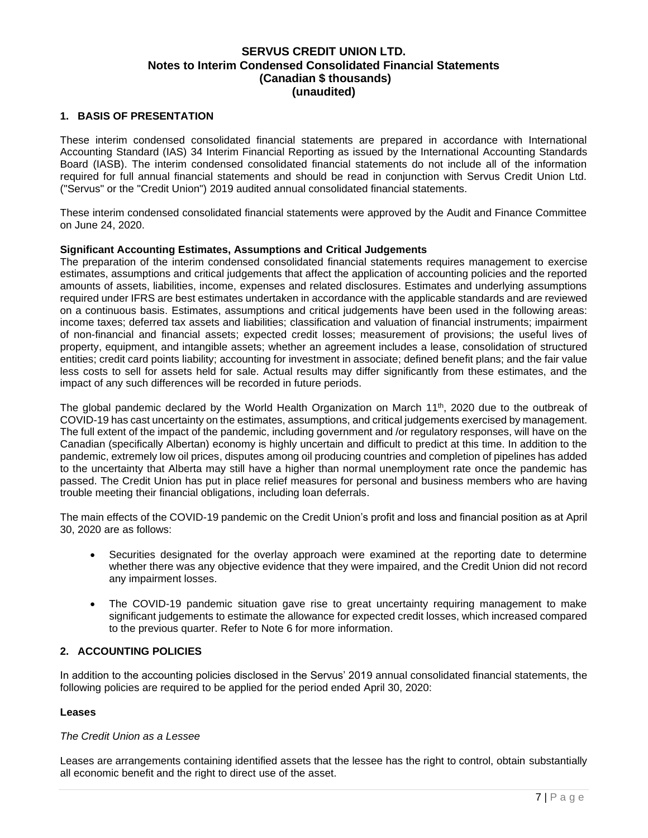#### <span id="page-7-0"></span>**1. BASIS OF PRESENTATION**

These interim condensed consolidated financial statements are prepared in accordance with International Accounting Standard (IAS) 34 Interim Financial Reporting as issued by the International Accounting Standards Board (IASB). The interim condensed consolidated financial statements do not include all of the information required for full annual financial statements and should be read in conjunction with Servus Credit Union Ltd. ("Servus" or the "Credit Union") 2019 audited annual consolidated financial statements.

These interim condensed consolidated financial statements were approved by the Audit and Finance Committee on June 24, 2020.

#### **Significant Accounting Estimates, Assumptions and Critical Judgements**

The preparation of the interim condensed consolidated financial statements requires management to exercise estimates, assumptions and critical judgements that affect the application of accounting policies and the reported amounts of assets, liabilities, income, expenses and related disclosures. Estimates and underlying assumptions required under IFRS are best estimates undertaken in accordance with the applicable standards and are reviewed on a continuous basis. Estimates, assumptions and critical judgements have been used in the following areas: income taxes; deferred tax assets and liabilities; classification and valuation of financial instruments; impairment of non-financial and financial assets; expected credit losses; measurement of provisions; the useful lives of property, equipment, and intangible assets; whether an agreement includes a lease, consolidation of structured entities; credit card points liability; accounting for investment in associate; defined benefit plans; and the fair value less costs to sell for assets held for sale. Actual results may differ significantly from these estimates, and the impact of any such differences will be recorded in future periods.

The global pandemic declared by the World Health Organization on March 11<sup>th</sup>, 2020 due to the outbreak of COVID-19 has cast uncertainty on the estimates, assumptions, and critical judgements exercised by management. The full extent of the impact of the pandemic, including government and /or regulatory responses, will have on the Canadian (specifically Albertan) economy is highly uncertain and difficult to predict at this time. In addition to the pandemic, extremely low oil prices, disputes among oil producing countries and completion of pipelines has added to the uncertainty that Alberta may still have a higher than normal unemployment rate once the pandemic has passed. The Credit Union has put in place relief measures for personal and business members who are having trouble meeting their financial obligations, including loan deferrals.

The main effects of the COVID-19 pandemic on the Credit Union's profit and loss and financial position as at April 30, 2020 are as follows:

- Securities designated for the overlay approach were examined at the reporting date to determine whether there was any objective evidence that they were impaired, and the Credit Union did not record any impairment losses.
- The COVID-19 pandemic situation gave rise to great uncertainty requiring management to make significant judgements to estimate the allowance for expected credit losses, which increased compared to the previous quarter. Refer to Note 6 for more information.

#### <span id="page-7-1"></span>**2. ACCOUNTING POLICIES**

In addition to the accounting policies disclosed in the Servus' 2019 annual consolidated financial statements, the following policies are required to be applied for the period ended April 30, 2020:

#### **Leases**

#### *The Credit Union as a Lessee*

Leases are arrangements containing identified assets that the lessee has the right to control, obtain substantially all economic benefit and the right to direct use of the asset.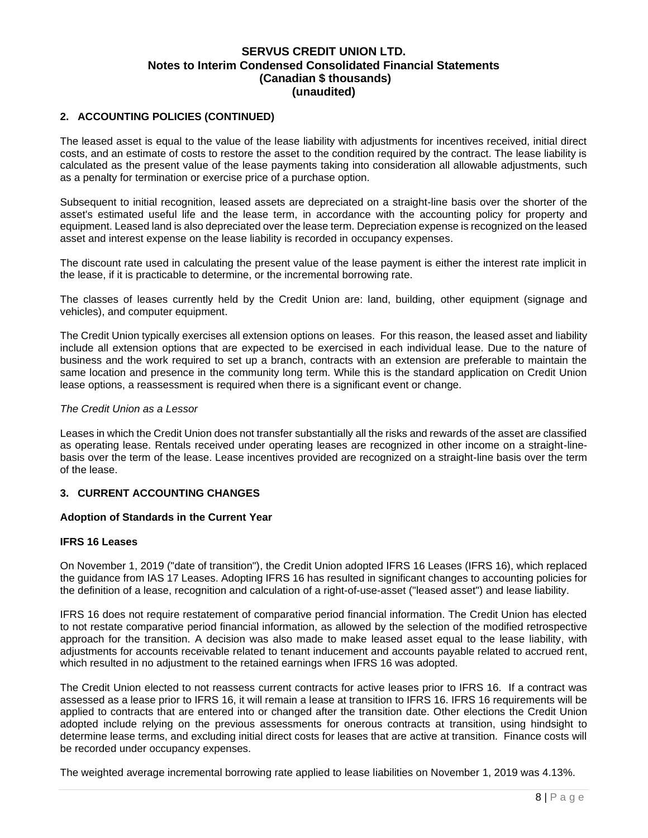#### **2. ACCOUNTING POLICIES (CONTINUED)**

The leased asset is equal to the value of the lease liability with adjustments for incentives received, initial direct costs, and an estimate of costs to restore the asset to the condition required by the contract. The lease liability is calculated as the present value of the lease payments taking into consideration all allowable adjustments, such as a penalty for termination or exercise price of a purchase option.

Subsequent to initial recognition, leased assets are depreciated on a straight-line basis over the shorter of the asset's estimated useful life and the lease term, in accordance with the accounting policy for property and equipment. Leased land is also depreciated over the lease term. Depreciation expense is recognized on the leased asset and interest expense on the lease liability is recorded in occupancy expenses.

The discount rate used in calculating the present value of the lease payment is either the interest rate implicit in the lease, if it is practicable to determine, or the incremental borrowing rate.

The classes of leases currently held by the Credit Union are: land, building, other equipment (signage and vehicles), and computer equipment.

The Credit Union typically exercises all extension options on leases. For this reason, the leased asset and liability include all extension options that are expected to be exercised in each individual lease. Due to the nature of business and the work required to set up a branch, contracts with an extension are preferable to maintain the same location and presence in the community long term. While this is the standard application on Credit Union lease options, a reassessment is required when there is a significant event or change.

#### *The Credit Union as a Lessor*

Leases in which the Credit Union does not transfer substantially all the risks and rewards of the asset are classified as operating lease. Rentals received under operating leases are recognized in other income on a straight-linebasis over the term of the lease. Lease incentives provided are recognized on a straight-line basis over the term of the lease.

#### <span id="page-8-0"></span>**3. CURRENT ACCOUNTING CHANGES**

#### **Adoption of Standards in the Current Year**

#### **IFRS 16 Leases**

On November 1, 2019 ("date of transition"), the Credit Union adopted IFRS 16 Leases (IFRS 16), which replaced the guidance from IAS 17 Leases. Adopting IFRS 16 has resulted in significant changes to accounting policies for the definition of a lease, recognition and calculation of a right-of-use-asset ("leased asset") and lease liability.

IFRS 16 does not require restatement of comparative period financial information. The Credit Union has elected to not restate comparative period financial information, as allowed by the selection of the modified retrospective approach for the transition. A decision was also made to make leased asset equal to the lease liability, with adjustments for accounts receivable related to tenant inducement and accounts payable related to accrued rent, which resulted in no adjustment to the retained earnings when IFRS 16 was adopted.

The Credit Union elected to not reassess current contracts for active leases prior to IFRS 16. If a contract was assessed as a lease prior to IFRS 16, it will remain a lease at transition to IFRS 16. IFRS 16 requirements will be applied to contracts that are entered into or changed after the transition date. Other elections the Credit Union adopted include relying on the previous assessments for onerous contracts at transition, using hindsight to determine lease terms, and excluding initial direct costs for leases that are active at transition. Finance costs will be recorded under occupancy expenses.

The weighted average incremental borrowing rate applied to lease liabilities on November 1, 2019 was 4.13%.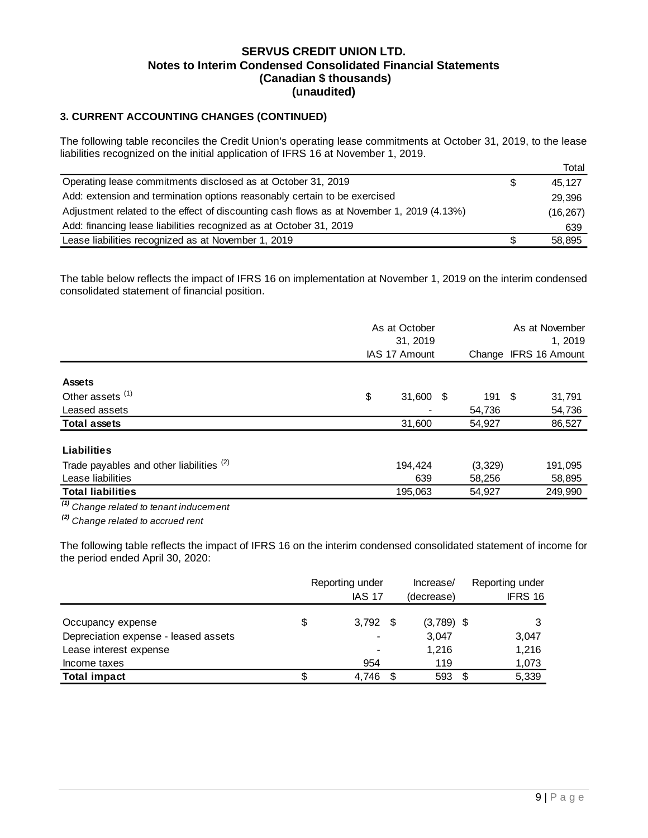# **3. CURRENT ACCOUNTING CHANGES (CONTINUED)**

The following table reconciles the Credit Union's operating lease commitments at October 31, 2019, to the lease liabilities recognized on the initial application of IFRS 16 at November 1, 2019.

|                                                                                           |   | Total     |
|-------------------------------------------------------------------------------------------|---|-----------|
| Operating lease commitments disclosed as at October 31, 2019                              | S | 45.127    |
| Add: extension and termination options reasonably certain to be exercised                 |   | 29,396    |
| Adjustment related to the effect of discounting cash flows as at November 1, 2019 (4.13%) |   | (16, 267) |
| Add: financing lease liabilities recognized as at October 31, 2019                        |   | 639       |
| Lease liabilities recognized as at November 1, 2019                                       |   | 58,895    |

The table below reflects the impact of IFRS 16 on implementation at November 1, 2019 on the interim condensed consolidated statement of financial position.

|                                                     | As at October<br>31, 2019 |        | As at November<br>1, 2019 |         |  |
|-----------------------------------------------------|---------------------------|--------|---------------------------|---------|--|
|                                                     | IAS 17 Amount             | Change | <b>IFRS 16 Amount</b>     |         |  |
| <b>Assets</b>                                       |                           |        |                           |         |  |
| Other assets <sup>(1)</sup>                         | \$<br>31,600              | - \$   | 191 \$                    | 31,791  |  |
| Leased assets                                       |                           |        | 54,736                    | 54,736  |  |
| <b>Total assets</b>                                 | 31,600                    |        | 54,927                    | 86,527  |  |
| Liabilities                                         |                           |        |                           |         |  |
| Trade payables and other liabilities <sup>(2)</sup> | 194.424                   |        | (3,329)                   | 191,095 |  |
| Lease liabilities                                   | 639                       |        | 58,256                    | 58,895  |  |
| <b>Total liabilities</b>                            | 195,063                   |        | 54.927                    | 249,990 |  |
| $\frac{1}{10}$ Change related to tenant inducament  |                           |        |                           |         |  |

*(1) Change related to tenant inducement*

*(2) Change related to accrued rent*

The following table reflects the impact of IFRS 16 on the interim condensed consolidated statement of income for the period ended April 30, 2020:

|                                      | Reporting under<br><b>IAS 17</b> | Increase/<br>(decrease) |    | Reporting under<br>IFRS 16 |
|--------------------------------------|----------------------------------|-------------------------|----|----------------------------|
| Occupancy expense                    | \$<br>$3,792$ \$                 | $(3,789)$ \$            |    |                            |
| Depreciation expense - leased assets |                                  | 3,047                   |    | 3,047                      |
| Lease interest expense               |                                  | 1.216                   |    | 1,216                      |
| Income taxes                         | 954                              | 119                     |    | 1,073                      |
| <b>Total impact</b>                  | 4.746                            | 593                     | -S | 5,339                      |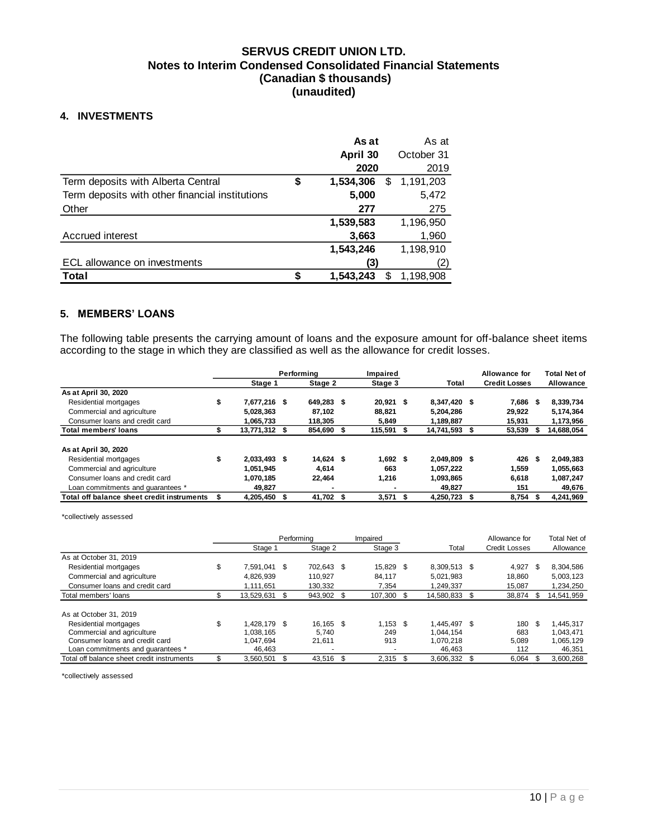### <span id="page-10-0"></span>**4. INVESTMENTS**

|                                                 | As at                | As at      |
|-------------------------------------------------|----------------------|------------|
|                                                 | April 30             | October 31 |
|                                                 | 2020                 | 2019       |
| Term deposits with Alberta Central              | \$<br>1,534,306<br>S | 1,191,203  |
| Term deposits with other financial institutions | 5,000                | 5,472      |
| Other                                           | 277                  | 275        |
|                                                 | 1,539,583            | 1,196,950  |
| Accrued interest                                | 3,663                | 1,960      |
|                                                 | 1,543,246            | 1,198,910  |
| ECL allowance on investments                    | (3)                  | (2)        |
| <b>Total</b>                                    | 1.543.243<br>S       | 1,198,908  |

#### <span id="page-10-1"></span>**5. MEMBERS' LOANS**

The following table presents the carrying amount of loans and the exposure amount for off-balance sheet items according to the stage in which they are classified as well as the allowance for credit losses.

|                                            |                      | Performina | Impaired    |                  |               | Allowance for        |      | <b>Total Net of</b> |
|--------------------------------------------|----------------------|------------|-------------|------------------|---------------|----------------------|------|---------------------|
|                                            | Stage 1              | Stage 2    |             | Stage 3<br>Total |               | <b>Credit Losses</b> |      | <b>Allowance</b>    |
| As at April 30, 2020                       |                      |            |             |                  |               |                      |      |                     |
| Residential mortgages                      | \$<br>7,677,216 \$   | 649,283 \$ | $20,921$ \$ |                  | 8,347,420 \$  | 7,686                | - 5  | 8,339,734           |
| Commercial and agriculture                 | 5,028,363            | 87.102     | 88.821      |                  | 5.204.286     | 29.922               |      | 5,174,364           |
| Consumer loans and credit card             | 1,065,733            | 118,305    | 5,849       |                  | 1,189,887     | 15,931               |      | 1,173,956           |
| <b>Total members' loans</b>                | \$<br>13,771,312 \$  | 854,690    | 115,591 \$  |                  | 14,741,593 \$ | 53,539               | - 55 | 14,688,054          |
| As at April 30, 2020                       |                      |            |             |                  |               |                      |      |                     |
| Residential mortgages                      | \$<br>$2.033.493$ \$ | 14.624 \$  | 1.692 S     |                  | 2.049.809 \$  | 426                  | -5   | 2,049,383           |
| Commercial and agriculture                 | 1.051.945            | 4.614      | 663         |                  | 1.057.222     | 1,559                |      | 1,055,663           |
| Consumer loans and credit card             | 1,070,185            | 22.464     | 1.216       |                  | 1,093,865     | 6,618                |      | 1,087,247           |
| Loan commitments and quarantees *          | 49,827               |            |             |                  | 49,827        | 151                  |      | 49,676              |
| Total off balance sheet credit instruments | 4,205,450 \$         | 41,702 \$  | $3,571$ \$  |                  | 4,250,723     | 8,754                |      | 4,241,969           |

\*collectively assessed

|                                            |                    | Performing |    | Impaired   |              | Allowance for        |      | Total Net of |
|--------------------------------------------|--------------------|------------|----|------------|--------------|----------------------|------|--------------|
|                                            | Stage 1            | Stage 2    |    | Stage 3    | Total        | <b>Credit Losses</b> |      | Allowance    |
| As at October 31, 2019                     |                    |            |    |            |              |                      |      |              |
| Residential mortgages                      | \$<br>7.591.041 \$ | 702.643 \$ |    | 15,829 \$  | 8,309,513 \$ | 4,927                | - \$ | 8,304,586    |
| Commercial and agriculture                 | 4.826.939          | 110.927    |    | 84.117     | 5.021.983    | 18.860               |      | 5,003,123    |
| Consumer loans and credit card             | 1.111.651          | 130.332    |    | 7.354      | 1.249.337    | 15.087               |      | 1.234.250    |
| Total members' loans                       | 13,529,631         | 943,902 \$ |    | 107,300 \$ | 14,580,833   | \$<br>38,874         | -S   | 14,541,959   |
|                                            |                    |            |    |            |              |                      |      |              |
| As at October 31, 2019                     |                    |            |    |            |              |                      |      |              |
| Residential mortgages                      | \$<br>1.428.179 \$ | 16.165 \$  |    | $1.153$ \$ | 1.445.497 \$ | 180                  | -\$  | 1,445,317    |
| Commercial and agriculture                 | 1.038.165          | 5.740      |    | 249        | 1.044.154    | 683                  |      | 1.043.471    |
| Consumer loans and credit card             | 1.047.694          | 21,611     |    | 913        | 1.070.218    | 5,089                |      | 1,065,129    |
| Loan commitments and quarantees *          | 46.463             |            |    | -          | 46.463       | 112                  |      | 46,351       |
| Total off balance sheet credit instruments | 3,560,501          | 43,516     | -S | 2,315      | 3,606,332    | \$<br>6.064          |      | 3,600,268    |

\*collectively assessed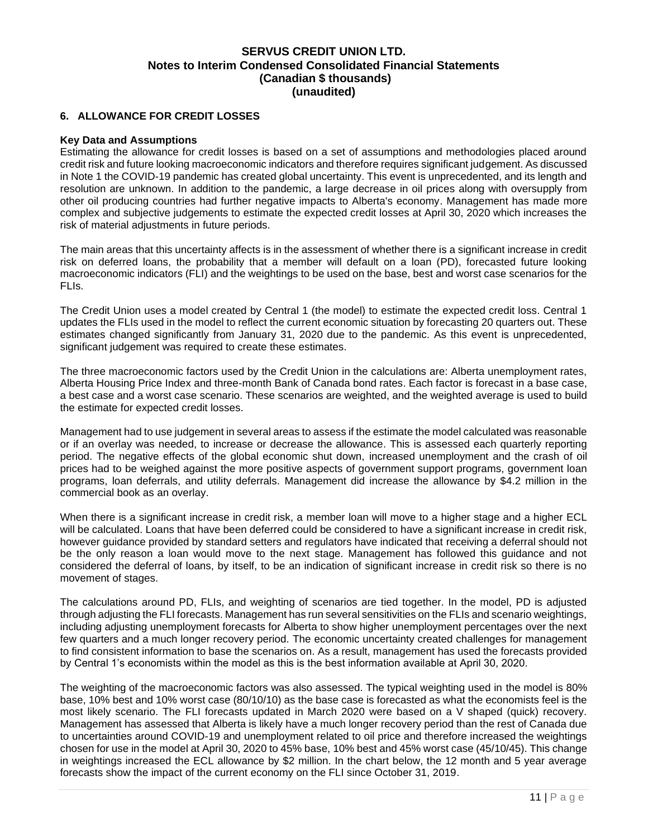#### <span id="page-11-0"></span>**6. ALLOWANCE FOR CREDIT LOSSES**

#### **Key Data and Assumptions**

Estimating the allowance for credit losses is based on a set of assumptions and methodologies placed around credit risk and future looking macroeconomic indicators and therefore requires significant judgement. As discussed in Note 1 the COVID-19 pandemic has created global uncertainty. This event is unprecedented, and its length and resolution are unknown. In addition to the pandemic, a large decrease in oil prices along with oversupply from other oil producing countries had further negative impacts to Alberta's economy. Management has made more complex and subjective judgements to estimate the expected credit losses at April 30, 2020 which increases the risk of material adjustments in future periods.

The main areas that this uncertainty affects is in the assessment of whether there is a significant increase in credit risk on deferred loans, the probability that a member will default on a loan (PD), forecasted future looking macroeconomic indicators (FLI) and the weightings to be used on the base, best and worst case scenarios for the FLIs.

The Credit Union uses a model created by Central 1 (the model) to estimate the expected credit loss. Central 1 updates the FLIs used in the model to reflect the current economic situation by forecasting 20 quarters out. These estimates changed significantly from January 31, 2020 due to the pandemic. As this event is unprecedented, significant judgement was required to create these estimates.

The three macroeconomic factors used by the Credit Union in the calculations are: Alberta unemployment rates, Alberta Housing Price Index and three-month Bank of Canada bond rates. Each factor is forecast in a base case, a best case and a worst case scenario. These scenarios are weighted, and the weighted average is used to build the estimate for expected credit losses.

Management had to use judgement in several areas to assess if the estimate the model calculated was reasonable or if an overlay was needed, to increase or decrease the allowance. This is assessed each quarterly reporting period. The negative effects of the global economic shut down, increased unemployment and the crash of oil prices had to be weighed against the more positive aspects of government support programs, government loan programs, loan deferrals, and utility deferrals. Management did increase the allowance by \$4.2 million in the commercial book as an overlay.

When there is a significant increase in credit risk, a member loan will move to a higher stage and a higher ECL will be calculated. Loans that have been deferred could be considered to have a significant increase in credit risk, however guidance provided by standard setters and regulators have indicated that receiving a deferral should not be the only reason a loan would move to the next stage. Management has followed this guidance and not considered the deferral of loans, by itself, to be an indication of significant increase in credit risk so there is no movement of stages.

The calculations around PD, FLIs, and weighting of scenarios are tied together. In the model, PD is adjusted through adjusting the FLI forecasts. Management has run several sensitivities on the FLIs and scenario weightings, including adjusting unemployment forecasts for Alberta to show higher unemployment percentages over the next few quarters and a much longer recovery period. The economic uncertainty created challenges for management to find consistent information to base the scenarios on. As a result, management has used the forecasts provided by Central 1's economists within the model as this is the best information available at April 30, 2020.

The weighting of the macroeconomic factors was also assessed. The typical weighting used in the model is 80% base, 10% best and 10% worst case (80/10/10) as the base case is forecasted as what the economists feel is the most likely scenario. The FLI forecasts updated in March 2020 were based on a V shaped (quick) recovery. Management has assessed that Alberta is likely have a much longer recovery period than the rest of Canada due to uncertainties around COVID-19 and unemployment related to oil price and therefore increased the weightings chosen for use in the model at April 30, 2020 to 45% base, 10% best and 45% worst case (45/10/45). This change in weightings increased the ECL allowance by \$2 million. In the chart below, the 12 month and 5 year average forecasts show the impact of the current economy on the FLI since October 31, 2019.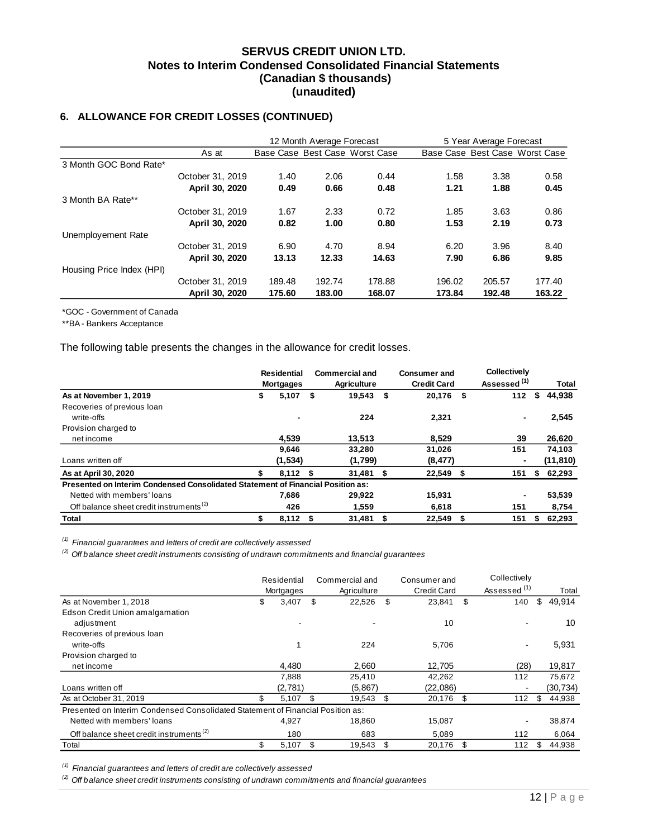## **6. ALLOWANCE FOR CREDIT LOSSES (CONTINUED)**

|                           |                  |        | 12 Month Average Forecast |                                | 5 Year Average Forecast |        |                                |  |
|---------------------------|------------------|--------|---------------------------|--------------------------------|-------------------------|--------|--------------------------------|--|
|                           | As at            |        |                           | Base Case Best Case Worst Case |                         |        | Base Case Best Case Worst Case |  |
| 3 Month GOC Bond Rate*    |                  |        |                           |                                |                         |        |                                |  |
|                           | October 31, 2019 | 1.40   | 2.06                      | 0.44                           | 1.58                    | 3.38   | 0.58                           |  |
|                           | April 30, 2020   | 0.49   | 0.66                      | 0.48                           | 1.21                    | 1.88   | 0.45                           |  |
| 3 Month BA Rate**         |                  |        |                           |                                |                         |        |                                |  |
|                           | October 31, 2019 | 1.67   | 2.33                      | 0.72                           | 1.85                    | 3.63   | 0.86                           |  |
|                           | April 30, 2020   | 0.82   | 1.00                      | 0.80                           | 1.53                    | 2.19   | 0.73                           |  |
| Unemployement Rate        |                  |        |                           |                                |                         |        |                                |  |
|                           | October 31, 2019 | 6.90   | 4.70                      | 8.94                           | 6.20                    | 3.96   | 8.40                           |  |
|                           | April 30, 2020   | 13.13  | 12.33                     | 14.63                          | 7.90                    | 6.86   | 9.85                           |  |
| Housing Price Index (HPI) |                  |        |                           |                                |                         |        |                                |  |
|                           | October 31, 2019 | 189.48 | 192.74                    | 178.88                         | 196.02                  | 205.57 | 177.40                         |  |
|                           | April 30, 2020   | 175.60 | 183.00                    | 168.07                         | 173.84                  | 192.48 | 163.22                         |  |

\*GOC - Government of Canada

\*\*BA - Bankers Acceptance

The following table presents the changes in the allowance for credit losses.

|                                                                                 | <b>Residential</b><br><b>Mortgages</b> |    | <b>Commercial and</b><br><b>Agriculture</b> | <b>Consumer and</b><br><b>Credit Card</b> |      | <b>Collectively</b><br>Assessed <sup>(1)</sup> |    | Total     |
|---------------------------------------------------------------------------------|----------------------------------------|----|---------------------------------------------|-------------------------------------------|------|------------------------------------------------|----|-----------|
| As at November 1, 2019                                                          | \$<br>5,107                            | S. | 19,543                                      | \$<br>20,176 \$                           |      | 112                                            | S  | 44,938    |
| Recoveries of previous loan                                                     |                                        |    |                                             |                                           |      |                                                |    |           |
| write-offs                                                                      | $\blacksquare$                         |    | 224                                         | 2,321                                     |      | ۰                                              |    | 2,545     |
| Provision charged to                                                            |                                        |    |                                             |                                           |      |                                                |    |           |
| net income                                                                      | 4.539                                  |    | 13.513                                      | 8.529                                     |      | 39                                             |    | 26,620    |
|                                                                                 | 9,646                                  |    | 33,280                                      | 31,026                                    |      | 151                                            |    | 74,103    |
| Loans written off                                                               | (1, 534)                               |    | (1,799)                                     | (8, 477)                                  |      |                                                |    | (11, 810) |
| As at April 30, 2020                                                            | \$<br>$8,112$ \$                       |    | $31,481$ \$                                 | 22,549 \$                                 |      | 151                                            | \$ | 62,293    |
| Presented on Interim Condensed Consolidated Statement of Financial Position as: |                                        |    |                                             |                                           |      |                                                |    |           |
| Netted with members' loans                                                      | 7,686                                  |    | 29,922                                      | 15,931                                    |      |                                                |    | 53,539    |
| Off balance sheet credit instruments <sup>(2)</sup>                             | 426                                    |    | 1.559                                       | 6.618                                     |      | 151                                            |    | 8,754     |
| Total                                                                           | $8,112$ \$                             |    | $31,481$ \$                                 | 22.549                                    | - \$ | 151                                            |    | 62,293    |

*(1) Financial guarantees and letters of credit are collectively assessed*

*(2) Off balance sheet credit instruments consisting of undrawn commitments and financial guarantees*

|                                                                                 | Residential<br>Mortgages |     | Commercial and<br>Agriculture |    | Consumer and<br><b>Credit Card</b> | Collectively<br>Assessed <sup>(1)</sup> | Total        |
|---------------------------------------------------------------------------------|--------------------------|-----|-------------------------------|----|------------------------------------|-----------------------------------------|--------------|
| As at November 1, 2018                                                          | \$<br>3,407              | \$  | 22,526                        | \$ | 23,841                             | \$<br>140                               | \$<br>49,914 |
| Edson Credit Union amalgamation                                                 |                          |     |                               |    |                                    |                                         |              |
| adjustment                                                                      |                          |     |                               |    | 10                                 |                                         | 10           |
| Recoveries of previous loan                                                     |                          |     |                               |    |                                    |                                         |              |
| write-offs                                                                      |                          |     | 224                           |    | 5,706                              | -                                       | 5,931        |
| Provision charged to                                                            |                          |     |                               |    |                                    |                                         |              |
| net income                                                                      | 4,480                    |     | 2,660                         |    | 12,705                             | (28)                                    | 19,817       |
|                                                                                 | 7,888                    |     | 25,410                        |    | 42,262                             | 112                                     | 75,672       |
| Loans written off                                                               | (2,781)                  |     | (5,867)                       |    | (22,086)                           |                                         | (30, 734)    |
| As at October 31, 2019                                                          | \$<br>5,107              | \$. | 19,543                        | \$ | 20,176                             | \$<br>112                               | \$<br>44,938 |
| Presented on Interim Condensed Consolidated Statement of Financial Position as: |                          |     |                               |    |                                    |                                         |              |
| Netted with members' loans                                                      | 4,927                    |     | 18.860                        |    | 15,087                             |                                         | 38,874       |
| Off balance sheet credit instruments <sup>(2)</sup>                             | 180                      |     | 683                           |    | 5,089                              | 112                                     | 6,064        |
| Total                                                                           | \$<br>5,107              | \$. | 19.543                        | S  | 20.176                             | \$<br>112                               | \$<br>44.938 |

*(1) Financial guarantees and letters of credit are collectively assessed*

*(2) Off balance sheet credit instruments consisting of undrawn commitments and financial guarantees*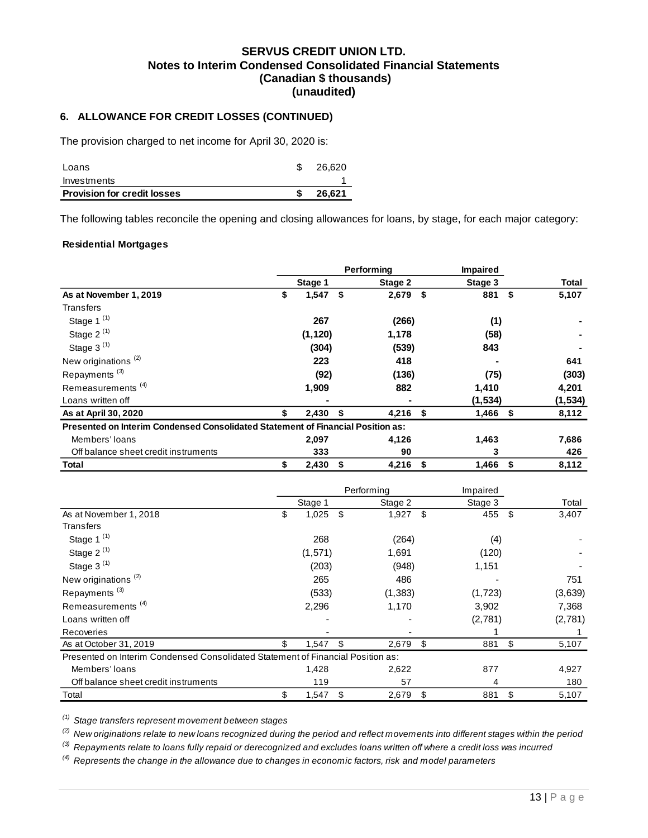## **6. ALLOWANCE FOR CREDIT LOSSES (CONTINUED)**

The provision charged to net income for April 30, 2020 is:

| <b>Provision for credit losses</b> | 26.621 |
|------------------------------------|--------|
| Investments                        |        |
| Loans                              | 26.620 |

The following tables reconcile the opening and closing allowances for loans, by stage, for each major category:

#### **Residential Mortgages**

|                                                                                 |                  | Performing  |     | Impaired |               |              |
|---------------------------------------------------------------------------------|------------------|-------------|-----|----------|---------------|--------------|
|                                                                                 | Stage 1          | Stage 2     |     | Stage 3  |               | <b>Total</b> |
| As at November 1, 2019                                                          | \$<br>$1,547$ \$ | 2,679       | -\$ | 881      | Ŝ.            | 5,107        |
| Transfers                                                                       |                  |             |     |          |               |              |
| Stage 1 <sup>(1)</sup>                                                          | 267              | (266)       |     | (1)      |               |              |
| Stage 2 <sup>(1)</sup>                                                          | (1, 120)         | 1,178       |     | (58)     |               |              |
| Stage 3 <sup>(1)</sup>                                                          | (304)            | (539)       |     | 843      |               |              |
| New originations <sup>(2)</sup>                                                 | 223              | 418         |     |          |               | 641          |
| Repayments <sup>(3)</sup>                                                       | (92)             | (136)       |     | (75)     |               | (303)        |
| Remeasurements <sup>(4)</sup>                                                   | 1,909            | 882         |     | 1,410    |               | 4,201        |
| Loans written off                                                               |                  |             |     | (1, 534) |               | (1, 534)     |
| As at April 30, 2020                                                            | \$<br>2,430      | \$<br>4,216 | \$  | 1,466    | $\sqrt[6]{3}$ | 8,112        |
| Presented on Interim Condensed Consolidated Statement of Financial Position as: |                  |             |     |          |               |              |
| Members' loans                                                                  | 2,097            | 4,126       |     | 1,463    |               | 7,686        |
| Off balance sheet credit instruments                                            | 333              | 90          |     | 3        |               | 426          |
| <b>Total</b>                                                                    | \$<br>2,430      | \$<br>4,216 | \$  | 1,466    | - \$          | 8,112        |
|                                                                                 |                  | Performing  |     | Impaired |               |              |
|                                                                                 | Stage 1          | Stage 2     |     | Stage 3  |               | Total        |
| As at November 1, 2018                                                          | \$<br>1,025      | \$<br>1,927 | \$  | 455      | -\$           | 3,407        |
| <b>Transfers</b>                                                                |                  |             |     |          |               |              |
| Stage 1 <sup>(1)</sup>                                                          | 268              | (264)       |     | (4)      |               |              |
| Stage 2 <sup>(1)</sup>                                                          | (1, 571)         | 1,691       |     | (120)    |               |              |
| Stage 3 <sup>(1)</sup>                                                          | (203)            | (948)       |     | 1,151    |               |              |
| New originations <sup>(2)</sup>                                                 | 265              | 486         |     |          |               | 751          |
| Repayments <sup>(3)</sup>                                                       | (533)            | (1, 383)    |     | (1, 723) |               | (3,639)      |

| Repayments                                                                      | (ပ၁၁) | וטסט, ו | (ت.ے آبی | (ວ,ບວອ) |
|---------------------------------------------------------------------------------|-------|---------|----------|---------|
| Remeasurements <sup>(4)</sup>                                                   | 2.296 | 1.170   | 3.902    | 7.368   |
| Loans written off                                                               |       |         | (2,781)  | (2,781) |
| Recoveries                                                                      |       |         |          |         |
| As at October 31, 2019                                                          | 1.547 | 2.679   | 881      | 5.107   |
| Presented on Interim Condensed Consolidated Statement of Financial Position as: |       |         |          |         |
| Members' loans                                                                  | 1.428 | 2,622   | 877      | 4,927   |
| Off balance sheet credit instruments                                            | 119   | 57      |          | 180     |
| Total                                                                           | .547  | 2.679   | 881      | 5.107   |

*(1) Stage transfers represent movement between stages*

*(2) New originations relate to new loans recognized during the period and reflect movements into different stages within the period*

*(3) Repayments relate to loans fully repaid or derecognized and excludes loans written off where a credit loss was incurred*

*(4) Represents the change in the allowance due to changes in economic factors, risk and model parameters*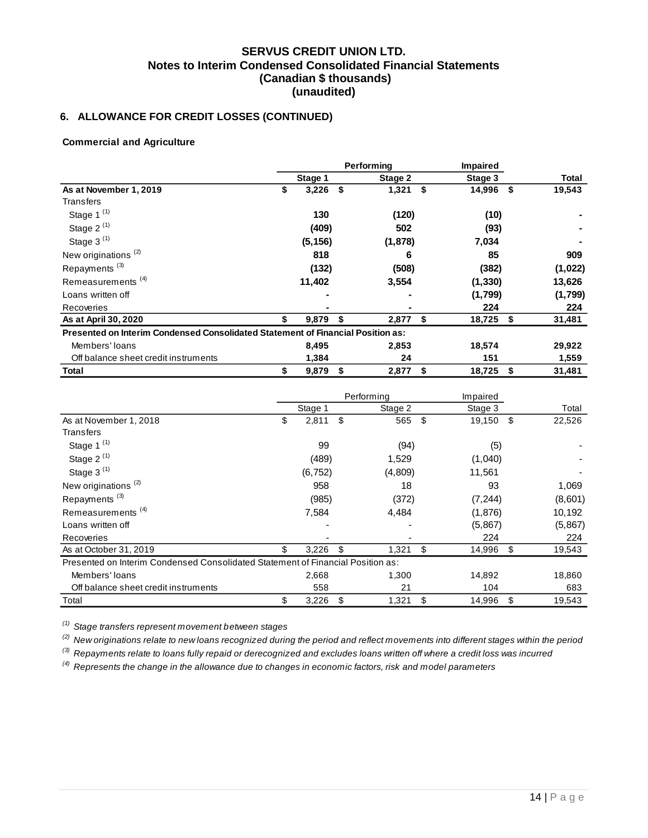# **6. ALLOWANCE FOR CREDIT LOSSES (CONTINUED)**

#### **Commercial and Agriculture**

|                                                                                 |    |          |    | Performina | <b>Impaired</b> |          |      |         |
|---------------------------------------------------------------------------------|----|----------|----|------------|-----------------|----------|------|---------|
|                                                                                 |    | Stage 1  |    | Stage 2    |                 | Stage 3  |      | Total   |
| As at November 1, 2019                                                          | \$ | 3,226    | \$ | 1,321      | \$              | 14,996   | - \$ | 19,543  |
| Transfers                                                                       |    |          |    |            |                 |          |      |         |
| Stage 1 <sup>(1)</sup>                                                          |    | 130      |    | (120)      |                 | (10)     |      |         |
| Stage 2 $(1)$                                                                   |    | (409)    |    | 502        |                 | (93)     |      |         |
| Stage 3 <sup>(1)</sup>                                                          |    | (5, 156) |    | (1,878)    |                 | 7,034    |      |         |
| New originations <sup>(2)</sup>                                                 |    | 818      |    | 6          |                 | 85       |      | 909     |
| Repayments <sup>(3)</sup>                                                       |    | (132)    |    | (508)      |                 | (382)    |      | (1,022) |
| Remeasurements <sup>(4)</sup>                                                   |    | 11,402   |    | 3,554      |                 | (1, 330) |      | 13,626  |
| Loans written off                                                               |    |          |    |            |                 | (1,799)  |      | (1,799) |
| Recoveries                                                                      |    |          |    |            |                 | 224      |      | 224     |
| As at April 30, 2020                                                            |    | 9,879    | \$ | 2,877      | \$              | 18,725   | S.   | 31,481  |
| Presented on Interim Condensed Consolidated Statement of Financial Position as: |    |          |    |            |                 |          |      |         |
| Members' loans                                                                  |    | 8,495    |    | 2,853      |                 | 18,574   |      | 29,922  |
| Off balance sheet credit instruments                                            |    | 1,384    |    | 24         |                 | 151      |      | 1,559   |
| <b>Total</b>                                                                    | \$ | 9,879    | \$ | 2,877      | \$              | 18,725   | \$   | 31,481  |

|                                                                                 |             | Performing  | Impaired     |    |         |
|---------------------------------------------------------------------------------|-------------|-------------|--------------|----|---------|
|                                                                                 | Stage 1     | Stage 2     | Stage 3      |    | Total   |
| As at November 1, 2018                                                          | \$<br>2,811 | \$<br>565   | \$<br>19,150 | \$ | 22,526  |
| Transfers                                                                       |             |             |              |    |         |
| Stage 1 $(1)$                                                                   | 99          | (94)        | (5)          |    |         |
| Stage 2 $(1)$                                                                   | (489)       | 1,529       | (1,040)      |    |         |
| Stage $3^{(1)}$                                                                 | (6, 752)    | (4,809)     | 11,561       |    |         |
| New originations <sup>(2)</sup>                                                 | 958         | 18          | 93           |    | 1,069   |
| Repayments <sup>(3)</sup>                                                       | (985)       | (372)       | (7, 244)     |    | (8,601) |
| Remeasurements <sup>(4)</sup>                                                   | 7,584       | 4,484       | (1,876)      |    | 10,192  |
| Loans written off                                                               |             |             | (5,867)      |    | (5,867) |
| Recoveries                                                                      |             |             | 224          |    | 224     |
| As at October 31, 2019                                                          | 3,226       | \$<br>1,321 | \$<br>14,996 | \$ | 19,543  |
| Presented on Interim Condensed Consolidated Statement of Financial Position as: |             |             |              |    |         |
| Members' loans                                                                  | 2,668       | 1,300       | 14,892       |    | 18,860  |
| Off balance sheet credit instruments                                            | 558         | 21          | 104          |    | 683     |
| Total                                                                           | \$<br>3,226 | \$<br>1,321 | \$<br>14,996 | \$ | 19,543  |

*(1) Stage transfers represent movement between stages*

*(2) New originations relate to new loans recognized during the period and reflect movements into different stages within the period*

*(3) Repayments relate to loans fully repaid or derecognized and excludes loans written off where a credit loss was incurred*

*(4) Represents the change in the allowance due to changes in economic factors, risk and model parameters*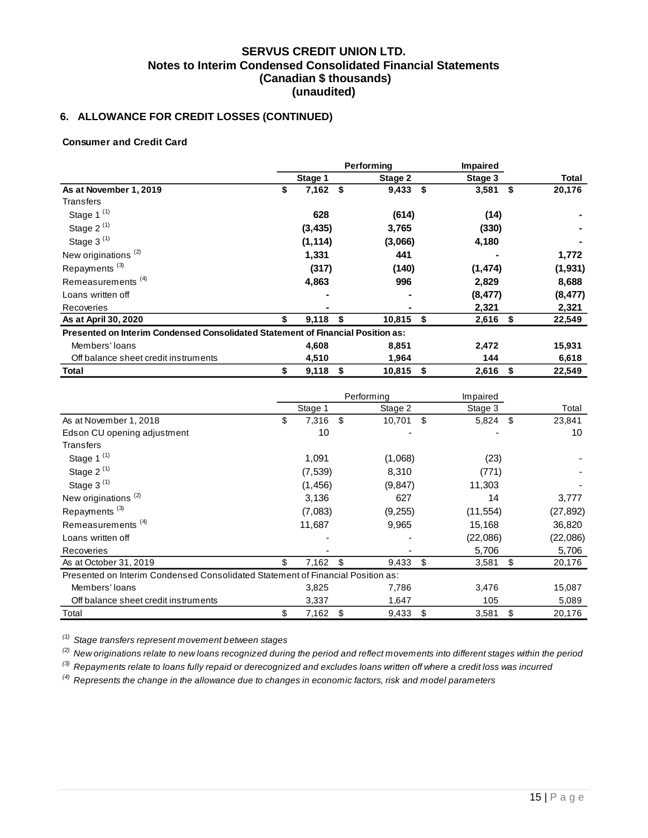# **6. ALLOWANCE FOR CREDIT LOSSES (CONTINUED)**

#### **Consumer and Credit Card**

|                                                                                 |    |          |      | Performing |     | <b>Impaired</b> |    |          |
|---------------------------------------------------------------------------------|----|----------|------|------------|-----|-----------------|----|----------|
|                                                                                 |    | Stage 1  |      | Stage 2    |     | Stage 3         |    | Total    |
| As at November 1, 2019                                                          | \$ | 7,162    | - \$ | 9,433      | -\$ | 3,581           | \$ | 20,176   |
| Transfers                                                                       |    |          |      |            |     |                 |    |          |
| Stage 1 $(1)$                                                                   |    | 628      |      | (614)      |     | (14)            |    |          |
| Stage $2^{(1)}$                                                                 |    | (3, 435) |      | 3,765      |     | (330)           |    |          |
| Stage $3^{(1)}$                                                                 |    | (1, 114) |      | (3,066)    |     | 4,180           |    |          |
| New originations <sup>(2)</sup>                                                 |    | 1,331    |      | 441        |     |                 |    | 1,772    |
| Repayments <sup>(3)</sup>                                                       |    | (317)    |      | (140)      |     | (1, 474)        |    | (1, 931) |
| Remeasurements <sup>(4)</sup>                                                   |    | 4,863    |      | 996        |     | 2,829           |    | 8,688    |
| Loans written off                                                               |    |          |      |            |     | (8, 477)        |    | (8, 477) |
| Recoveries                                                                      |    |          |      |            |     | 2,321           |    | 2,321    |
| As at April 30, 2020                                                            |    | 9,118    | S    | 10,815     | \$  | 2,616           | S  | 22,549   |
| Presented on Interim Condensed Consolidated Statement of Financial Position as: |    |          |      |            |     |                 |    |          |
| Members' loans                                                                  |    | 4,608    |      | 8,851      |     | 2,472           |    | 15,931   |
| Off balance sheet credit instruments                                            |    | 4,510    |      | 1,964      |     | 144             |    | 6,618    |
| Total                                                                           | \$ | 9,118    | - \$ | 10,815     | \$  | $2,616$ \$      |    | 22,549   |

|                                                                                 |     |          |      | Performing | Impaired    |      |           |
|---------------------------------------------------------------------------------|-----|----------|------|------------|-------------|------|-----------|
|                                                                                 |     | Stage 1  |      | Stage 2    | Stage 3     |      | Total     |
| As at November 1, 2018                                                          | \$  | 7,316    | - \$ | 10,701     | \$<br>5,824 | - \$ | 23,841    |
| Edson CU opening adjustment                                                     |     | 10       |      |            |             |      | 10        |
| Transfers                                                                       |     |          |      |            |             |      |           |
| Stage 1 $(1)$                                                                   |     | 1,091    |      | (1,068)    | (23)        |      |           |
| Stage 2 $(1)$                                                                   |     | (7, 539) |      | 8,310      | (771)       |      |           |
| Stage 3 $(1)$                                                                   |     | (1, 456) |      | (9, 847)   | 11,303      |      |           |
| New originations <sup>(2)</sup>                                                 |     | 3,136    |      | 627        | 14          |      | 3,777     |
| Repayments <sup>(3)</sup>                                                       |     | (7,083)  |      | (9,255)    | (11, 554)   |      | (27, 892) |
| Remeasurements <sup>(4)</sup>                                                   |     | 11,687   |      | 9,965      | 15,168      |      | 36,820    |
| Loans written off                                                               |     |          |      |            | (22,086)    |      | (22,086)  |
| Recoveries                                                                      |     |          |      |            | 5,706       |      | 5,706     |
| As at October 31, 2019                                                          | \$. | 7,162    | \$   | 9,433      | \$<br>3,581 | \$   | 20,176    |
| Presented on Interim Condensed Consolidated Statement of Financial Position as: |     |          |      |            |             |      |           |
| Members' loans                                                                  |     | 3,825    |      | 7,786      | 3,476       |      | 15,087    |
| Off balance sheet credit instruments                                            |     | 3,337    |      | 1,647      | 105         |      | 5,089     |
| Total                                                                           | \$  | 7,162    | \$   | 9,433      | \$<br>3,581 | \$   | 20,176    |

*(1) Stage transfers represent movement between stages*

*(2) New originations relate to new loans recognized during the period and reflect movements into different stages within the period*

*(3) Repayments relate to loans fully repaid or derecognized and excludes loans written off where a credit loss was incurred*

*(4) Represents the change in the allowance due to changes in economic factors, risk and model parameters*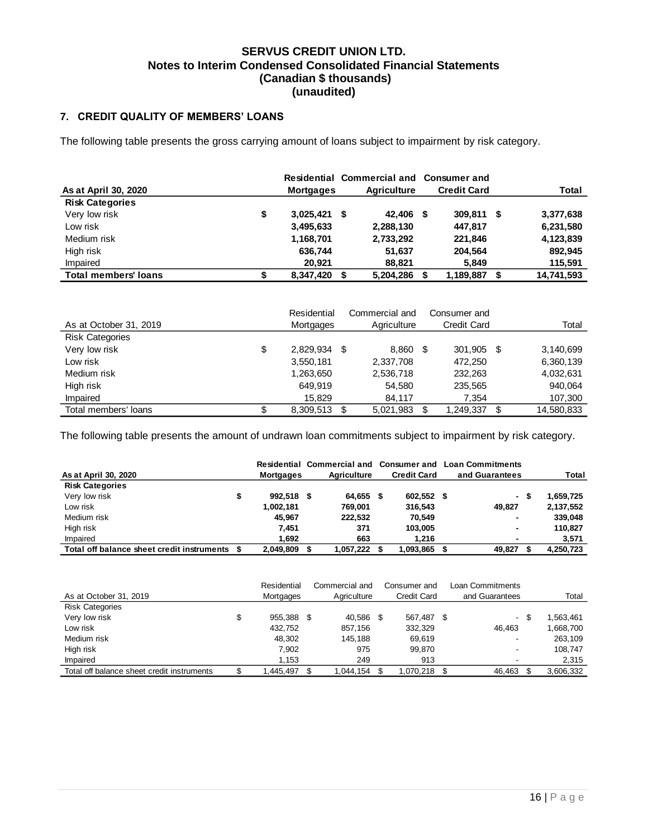### <span id="page-16-0"></span>**7. CREDIT QUALITY OF MEMBERS' LOANS**

The following table presents the gross carrying amount of loans subject to impairment by risk category.

|                             |                      | Residential Commercial and Consumer and |     |                    |            |
|-----------------------------|----------------------|-----------------------------------------|-----|--------------------|------------|
| As at April 30, 2020        | <b>Mortgages</b>     | <b>Agriculture</b>                      |     | <b>Credit Card</b> | Total      |
| <b>Risk Categories</b>      |                      |                                         |     |                    |            |
| Very low risk               | \$<br>$3,025,421$ \$ | 42.406                                  | - 5 | 309.811 \$         | 3,377,638  |
| Low risk                    | 3,495,633            | 2,288,130                               |     | 447.817            | 6,231,580  |
| Medium risk                 | 1,168,701            | 2,733,292                               |     | 221,846            | 4,123,839  |
| High risk                   | 636,744              | 51.637                                  |     | 204.564            | 892.945    |
| Impaired                    | 20.921               | 88,821                                  |     | 5.849              | 115,591    |
| <b>Total members' loans</b> | 8,347,420            | 5,204,286                               |     | 1,189,887          | 14,741,593 |

|                        | Residential     | Commercial and  | Consumer and       |    |            |
|------------------------|-----------------|-----------------|--------------------|----|------------|
| As at October 31, 2019 | Mortgages       | Agriculture     | <b>Credit Card</b> |    | Total      |
| <b>Risk Categories</b> |                 |                 |                    |    |            |
| Very low risk          | \$<br>2.829.934 | \$<br>8,860 \$  | 301.905            | -S | 3,140,699  |
| Low risk               | 3,550,181       | 2,337,708       | 472,250            |    | 6,360,139  |
| Medium risk            | 1,263,650       | 2,536,718       | 232,263            |    | 4,032,631  |
| High risk              | 649.919         | 54.580          | 235,565            |    | 940,064    |
| Impaired               | 15.829          | 84.117          | 7,354              |    | 107,300    |
| Total members' loans   | 8,309,513       | \$<br>5,021,983 | 1,249,337          | \$ | 14,580,833 |

The following table presents the amount of undrawn loan commitments subject to impairment by risk category.

|                                            |           | Residential Commercial and Consumer and |      |                    | <b>Loan Commitments</b> |     |           |
|--------------------------------------------|-----------|-----------------------------------------|------|--------------------|-------------------------|-----|-----------|
| As at April 30, 2020                       | Mortgages | Agriculture                             |      | <b>Credit Card</b> | and Guarantees          |     | Total     |
| <b>Risk Categories</b>                     |           |                                         |      |                    |                         |     |           |
| Very low risk                              | 992.518   | 64.655                                  | - 56 | 602,552 \$         |                         | - S | 1,659,725 |
| Low risk                                   | 1.002.181 | 769.001                                 |      | 316,543            | 49.827                  |     | 2,137,552 |
| Medium risk                                | 45.967    | 222.532                                 |      | 70,549             |                         |     | 339,048   |
| High risk                                  | 7.451     | 371                                     |      | 103.005            |                         |     | 110,827   |
| Impaired                                   | 1.692     | 663                                     |      | 1.216              |                         |     | 3,571     |
| Total off balance sheet credit instruments | 2,049,809 | 1,057,222                               |      | 1,093,865          | 49,827                  |     | 4,250,723 |

|                                            | Residential | Commercial and |     | Consumer and       |      | Loan Commitments |      |           |
|--------------------------------------------|-------------|----------------|-----|--------------------|------|------------------|------|-----------|
| As at October 31, 2019                     | Mortgages   | Agriculture    |     | <b>Credit Card</b> |      | and Guarantees   |      | Total     |
| <b>Risk Categories</b>                     |             |                |     |                    |      |                  |      |           |
| Very low risk                              | 955.388     | 40.586         | - 5 | 567.487            | - \$ |                  | - \$ | 1,563,461 |
| Low risk                                   | 432.752     | 857.156        |     | 332.329            |      | 46.463           |      | 1,668,700 |
| Medium risk                                | 48.302      | 145.188        |     | 69.619             |      |                  |      | 263.109   |
| High risk                                  | 7.902       | 975            |     | 99.870             |      |                  |      | 108.747   |
| Impaired                                   | 1.153       | 249            |     | 913                |      |                  |      | 2,315     |
| Total off balance sheet credit instruments | 1,445,497   | 1.044.154      |     | 1,070,218          |      | 46,463           |      | 3,606,332 |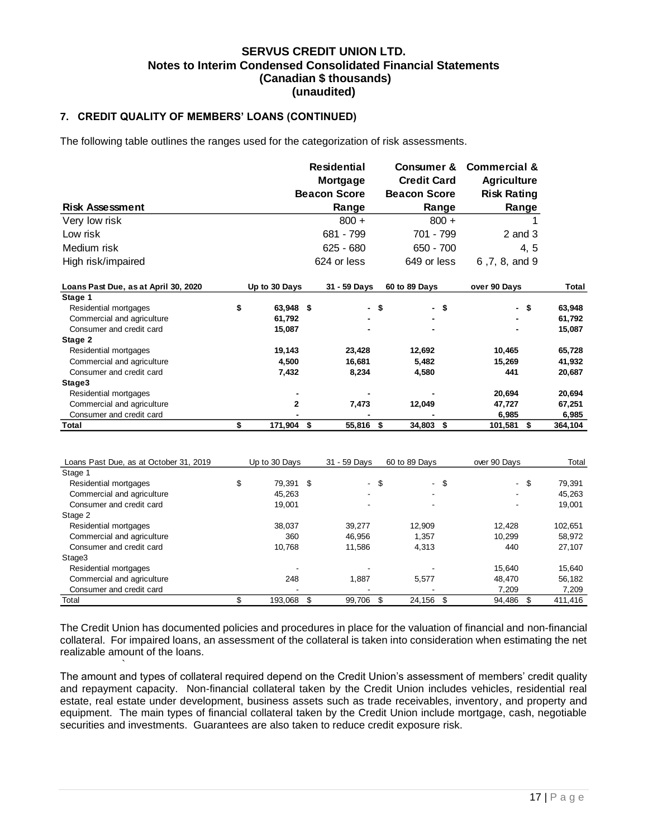#### **7. CREDIT QUALITY OF MEMBERS' LOANS (CONTINUED)**

The following table outlines the ranges used for the categorization of risk assessments.

|                                      |                 | <b>Residential</b>  |      | <b>Consumer &amp;</b> | <b>Commercial &amp;</b> |      |         |
|--------------------------------------|-----------------|---------------------|------|-----------------------|-------------------------|------|---------|
|                                      |                 | Mortgage            |      | <b>Credit Card</b>    | <b>Agriculture</b>      |      |         |
|                                      |                 | <b>Beacon Score</b> |      | <b>Beacon Score</b>   | <b>Risk Rating</b>      |      |         |
| <b>Risk Assessment</b>               |                 | Range               |      | Range                 | Range                   |      |         |
| Very low risk                        |                 | $800 +$             |      | $800 +$               |                         |      |         |
| Low risk                             |                 | 681 - 799           |      | 701 - 799             | $2$ and $3$             |      |         |
| Medium risk                          |                 | $625 - 680$         |      | 650 - 700             |                         | 4, 5 |         |
| High risk/impaired                   |                 | 624 or less         |      | 649 or less           | 6,7,8, and 9            |      |         |
| Loans Past Due, as at April 30, 2020 | Up to 30 Days   | 31 - 59 Days        |      | 60 to 89 Days         | over 90 Days            |      | Total   |
| Stage 1                              |                 |                     |      |                       |                         |      |         |
| Residential mortgages                | \$<br>63,948 \$ |                     | - \$ | - \$                  |                         | - \$ | 63,948  |
| Commercial and agriculture           | 61,792          |                     |      |                       |                         |      | 61,792  |
| Consumer and credit card             | 15,087          |                     |      |                       |                         |      | 15,087  |
| Stage 2                              |                 |                     |      |                       |                         |      |         |
| Residential mortgages                | 19,143          | 23,428              |      | 12,692                | 10,465                  |      | 65,728  |
| Commercial and agriculture           | 4.500           | 16,681              |      | 5,482                 | 15,269                  |      | 41,932  |
| Consumer and credit card             | 7,432           | 8,234               |      | 4,580                 | 441                     |      | 20,687  |
| Stage3                               |                 |                     |      |                       |                         |      |         |
| Residential mortgages                |                 |                     |      |                       | 20,694                  |      | 20,694  |
| Commercial and agriculture           | $\overline{2}$  | 7,473               |      | 12,049                | 47,727                  |      | 67,251  |
| Consumer and credit card             |                 |                     |      |                       | 6,985                   |      | 6,985   |
| Total                                | \$<br>171,904   | \$<br>55,816        | -S   | 34,803 \$             | 101,581                 | \$   | 364,104 |

| Loans Past Due, as at October 31, 2019 | Up to 30 Days   | 31 - 59 Days |      | 60 to 89 Days |      | over 90 Days |      | Total   |
|----------------------------------------|-----------------|--------------|------|---------------|------|--------------|------|---------|
| Stage 1                                |                 |              |      |               |      |              |      |         |
| Residential mortgages                  | \$<br>79.391 \$ |              | - \$ |               | - \$ |              | - \$ | 79,391  |
| Commercial and agriculture             | 45.263          |              |      | ۰             |      |              |      | 45,263  |
| Consumer and credit card               | 19.001          |              |      |               |      |              |      | 19,001  |
| Stage 2                                |                 |              |      |               |      |              |      |         |
| Residential mortgages                  | 38,037          | 39.277       |      | 12,909        |      | 12.428       |      | 102,651 |
| Commercial and agriculture             | 360             | 46.956       |      | 1.357         |      | 10.299       |      | 58,972  |
| Consumer and credit card               | 10.768          | 11,586       |      | 4,313         |      | 440          |      | 27,107  |
| Stage3                                 |                 |              |      |               |      |              |      |         |
| Residential mortgages                  |                 |              |      |               |      | 15.640       |      | 15,640  |
| Commercial and agriculture             | 248             | 1,887        |      | 5,577         |      | 48.470       |      | 56,182  |
| Consumer and credit card               |                 |              |      |               |      | 7,209        |      | 7,209   |
| Total                                  | 193.068         | \$<br>99.706 | \$   | 24,156        | -\$  | 94,486       | \$.  | 411.416 |

The Credit Union has documented policies and procedures in place for the valuation of financial and non-financial collateral. For impaired loans, an assessment of the collateral is taken into consideration when estimating the net realizable amount of the loans.

` The amount and types of collateral required depend on the Credit Union's assessment of members' credit quality and repayment capacity. Non-financial collateral taken by the Credit Union includes vehicles, residential real estate, real estate under development, business assets such as trade receivables, inventory, and property and equipment. The main types of financial collateral taken by the Credit Union include mortgage, cash, negotiable securities and investments. Guarantees are also taken to reduce credit exposure risk.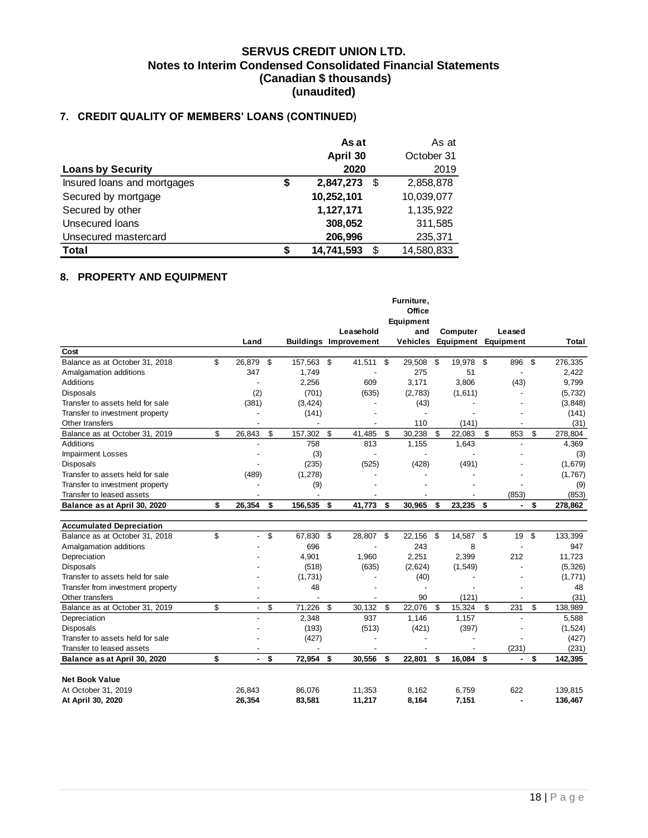# **7. CREDIT QUALITY OF MEMBERS' LOANS (CONTINUED)**

|                             |    | As at      |    | As at      |
|-----------------------------|----|------------|----|------------|
|                             |    | April 30   |    | October 31 |
| <b>Loans by Security</b>    |    | 2020       |    | 2019       |
| Insured loans and mortgages | \$ | 2,847,273  | \$ | 2,858,878  |
| Secured by mortgage         |    | 10,252,101 |    | 10,039,077 |
| Secured by other            |    | 1,127,171  |    | 1,135,922  |
| Unsecured loans             |    | 308,052    |    | 311,585    |
| Unsecured mastercard        |    | 206,996    |    | 235,371    |
| <b>Total</b>                | S  | 14,741,593 | S  | 14,580,833 |

#### <span id="page-18-0"></span>**8. PROPERTY AND EQUIPMENT**

| Furniture,                                                                                                                   |                                       |
|------------------------------------------------------------------------------------------------------------------------------|---------------------------------------|
| Office                                                                                                                       |                                       |
| Equipment                                                                                                                    |                                       |
| Leasehold<br>and<br>Computer                                                                                                 | Leased                                |
| <b>Buildings Improvement</b><br><b>Vehicles</b><br>Land<br>Equipment                                                         | Equipment<br>Total                    |
| Cost                                                                                                                         |                                       |
| \$<br>Balance as at October 31, 2018<br>\$<br>41,511 \$<br>29,508<br>\$<br>26,879<br>157,563 \$<br>19,978<br>- \$            | \$<br>896<br>276,335                  |
| 347<br>1,749<br>275<br>51<br>Amalgamation additions                                                                          | 2,422<br>$\overline{a}$               |
| 3.171<br>Additions<br>2.256<br>609<br>3.806<br>$\overline{a}$                                                                | (43)<br>9,799                         |
| (2)<br>(701)<br>(635)<br><b>Disposals</b><br>(2,783)<br>(1,611)                                                              | (5, 732)<br>$\overline{\phantom{a}}$  |
| Transfer to assets held for sale<br>(381)<br>(3, 424)<br>(43)                                                                | (3,848)                               |
| Transfer to investment property<br>(141)<br>$\overline{a}$                                                                   | (141)                                 |
| 110<br>(141)<br>Other transfers<br>$\blacksquare$                                                                            | (31)<br>$\overline{a}$                |
| \$<br>\$<br>\$<br>157,302<br>\$<br>30,238<br>\$<br>\$<br>Balance as at October 31, 2019<br>26,843<br>41,485<br>22,083        | \$<br>853<br>278,804                  |
| Additions<br>758<br>813<br>1,155<br>1.643                                                                                    | 4,369<br>L,                           |
| <b>Impairment Losses</b><br>(3)<br>$\overline{\phantom{a}}$<br>$\overline{a}$<br>$\overline{a}$                              | (3)                                   |
| (235)<br>(525)<br><b>Disposals</b><br>(428)<br>(491)                                                                         | (1,679)                               |
| Transfer to assets held for sale<br>(489)<br>(1, 278)                                                                        | (1,767)                               |
| Transfer to investment property<br>(9)                                                                                       | (9)                                   |
| Transfer to leased assets<br>$\overline{a}$                                                                                  | (853)<br>(853)                        |
| 156,535<br>\$<br>26,354<br>\$<br>41.773<br>30.965<br>\$<br>23,235<br>\$<br>\$<br>\$<br>Balance as at April 30, 2020          | \$<br>278,862<br>ä,                   |
|                                                                                                                              |                                       |
| <b>Accumulated Depreciation</b>                                                                                              |                                       |
| \$<br>\$<br>67,830<br>\$<br>28,807<br>\$<br>22,156<br>14,587 \$<br>Balance as at October 31, 2018<br>\$<br>$\overline{a}$    | \$<br>19<br>133,399                   |
| 696<br>243<br>8<br>Amalgamation additions                                                                                    | 947                                   |
| 4,901<br>2,251<br>2,399<br>Depreciation<br>1,960                                                                             | 212<br>11,723                         |
| <b>Disposals</b><br>(518)<br>(635)<br>(2,624)<br>(1, 549)                                                                    | (5, 326)                              |
| Transfer to assets held for sale<br>(1,731)<br>(40)                                                                          | (1,771)                               |
| 48<br>Transfer from investment property                                                                                      | 48                                    |
| 90<br>(121)<br>Other transfers                                                                                               | (31)                                  |
| \$<br>\$<br>\$<br>71,226<br>\$<br>22,076<br>\$<br>\$<br>Balance as at October 31, 2019<br>30,132<br>15,324<br>$\overline{a}$ | \$<br>231<br>138,989                  |
|                                                                                                                              |                                       |
| 2,348<br>937<br>1,146<br>1,157<br>Depreciation                                                                               | 5,588<br>$\overline{\phantom{a}}$     |
| <b>Disposals</b><br>(193)<br>(513)<br>(421)<br>(397)                                                                         | (1,524)                               |
| Transfer to assets held for sale<br>(427)                                                                                    | (427)                                 |
| Transfer to leased assets                                                                                                    |                                       |
| \$<br>\$<br>72,954<br>30,556<br>22,801<br>\$<br>16,084<br>\$<br>\$<br>\$<br>Balance as at April 30, 2020<br>ä,               | (231)<br>(231)<br>\$<br>142,395<br>ä, |
|                                                                                                                              |                                       |
| <b>Net Book Value</b>                                                                                                        |                                       |
| 26.843<br>At October 31, 2019<br>86.076<br>11,353<br>8.162<br>6.759                                                          | 622<br>139,815                        |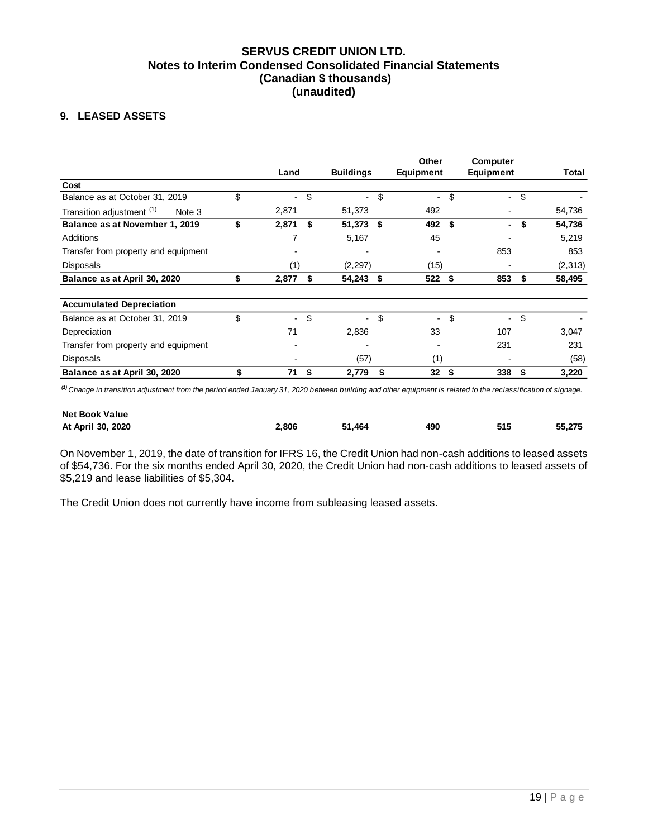### <span id="page-19-0"></span>**9. LEASED ASSETS**

|                                                |                                |                                | Other                          | Computer                       |              |
|------------------------------------------------|--------------------------------|--------------------------------|--------------------------------|--------------------------------|--------------|
|                                                | Land                           | <b>Buildings</b>               | <b>Equipment</b>               | Equipment                      | Total        |
| Cost                                           |                                |                                |                                |                                |              |
| Balance as at October 31, 2019                 | \$<br>$\overline{\phantom{0}}$ | \$                             | \$<br>$\overline{\phantom{a}}$ | \$<br>Ξ.                       | \$           |
| Transition adjustment <sup>(1)</sup><br>Note 3 | 2,871                          | 51,373                         | 492                            |                                | 54,736       |
| Balance as at November 1, 2019                 | \$<br>2,871                    | \$<br>51,373 \$                | 492                            | \$<br>٠                        | 54,736       |
| Additions                                      | 7                              | 5,167                          | 45                             |                                | 5,219        |
| Transfer from property and equipment           |                                |                                |                                | 853                            | 853          |
| Disposals                                      | (1)                            | (2, 297)                       | (15)                           |                                | (2,313)      |
| Balance as at April 30, 2020                   | 2,877                          | \$<br>54,243                   | \$<br>522                      | \$<br>853                      | \$<br>58,495 |
| <b>Accumulated Depreciation</b>                |                                |                                |                                |                                |              |
| Balance as at October 31, 2019                 | \$<br>$\overline{\phantom{0}}$ | \$<br>$\overline{\phantom{a}}$ | \$<br>$\overline{\phantom{a}}$ | \$<br>$\overline{\phantom{a}}$ | \$           |
| Depreciation                                   | 71                             | 2,836                          | 33                             | 107                            | 3,047        |
| Transfer from property and equipment           |                                |                                |                                | 231                            | 231          |
| Disposals                                      |                                | (57)                           | (1)                            |                                | (58)         |
| Balance as at April 30, 2020                   | \$<br>71                       | \$<br>2,779                    | \$<br>32                       | \$<br>338                      | \$<br>3,220  |

*(1) Change in transition adjustment from the period ended January 31, 2020 between building and other equipment is related to the reclassification of signage.*

| <b>Net Book Value</b> |       |        |     |     |        |
|-----------------------|-------|--------|-----|-----|--------|
| At April 30, 2020     | 2.806 | 51.464 | 490 | 515 | 55.275 |

On November 1, 2019, the date of transition for IFRS 16, the Credit Union had non-cash additions to leased assets of \$54,736. For the six months ended April 30, 2020, the Credit Union had non-cash additions to leased assets of \$5,219 and lease liabilities of \$5,304.

The Credit Union does not currently have income from subleasing leased assets.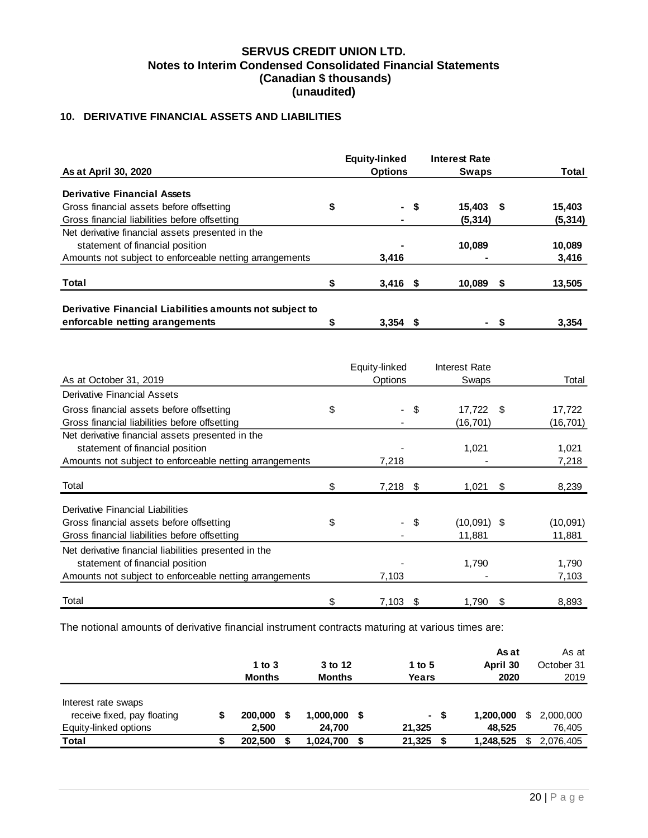# <span id="page-20-0"></span>**10. DERIVATIVE FINANCIAL ASSETS AND LIABILITIES**

|                                                         | <b>Equity-linked</b> |      | <b>Interest Rate</b> |   |          |
|---------------------------------------------------------|----------------------|------|----------------------|---|----------|
| As at April 30, 2020                                    | <b>Options</b>       |      | <b>Swaps</b>         |   | Total    |
| <b>Derivative Financial Assets</b>                      |                      |      |                      |   |          |
| Gross financial assets before offsetting                | \$                   | - \$ | 15.403               | S | 15,403   |
| Gross financial liabilities before offsetting           | ۰                    |      | (5, 314)             |   | (5, 314) |
| Net derivative financial assets presented in the        |                      |      |                      |   |          |
| statement of financial position                         |                      |      | 10.089               |   | 10,089   |
| Amounts not subject to enforceable netting arrangements | 3,416                |      |                      |   | 3,416    |
| Total                                                   | \$<br>$3,416$ \$     |      | 10,089               | S | 13,505   |
| Derivative Financial Liabilities amounts not subject to |                      |      |                      |   |          |
| enforcable netting arangements                          | 3.354                | - 56 | . .                  |   | 3,354    |

|                                                         | Equity-linked    |      | Interest Rate |    |           |
|---------------------------------------------------------|------------------|------|---------------|----|-----------|
| As at October 31, 2019                                  | Options          |      | Swaps         |    | Total     |
| <b>Derivative Financial Assets</b>                      |                  |      |               |    |           |
| Gross financial assets before offsetting                | \$               | - \$ | 17,722        | -S | 17,722    |
| Gross financial liabilities before offsetting           |                  |      | (16,701)      |    | (16, 701) |
| Net derivative financial assets presented in the        |                  |      |               |    |           |
| statement of financial position                         |                  |      | 1,021         |    | 1,021     |
| Amounts not subject to enforceable netting arrangements | 7,218            |      |               |    | 7,218     |
| Total                                                   | \$<br>$7,218$ \$ |      | 1,021         | \$ | 8,239     |
| Derivative Financial Liabilities                        |                  |      |               |    |           |
| Gross financial assets before offsetting                | \$               | - \$ | $(10,091)$ \$ |    | (10,091)  |
| Gross financial liabilities before offsetting           |                  |      | 11,881        |    | 11,881    |
| Net derivative financial liabilities presented in the   |                  |      |               |    |           |
| statement of financial position                         |                  |      | 1,790         |    | 1,790     |
| Amounts not subject to enforceable netting arrangements | 7,103            |      |               |    | 7,103     |
| Total                                                   | \$<br>$7,103$ \$ |      | 1,790         | S  | 8,893     |

The notional amounts of derivative financial instrument contracts maturing at various times are:

|                                                                             | 1 to $3$<br><b>Months</b> |   | 3 to 12<br><b>Months</b> |     | 1 to 5<br>Years  |     | As at<br>April 30<br>2020 |    | As at<br>October 31<br>2019 |
|-----------------------------------------------------------------------------|---------------------------|---|--------------------------|-----|------------------|-----|---------------------------|----|-----------------------------|
| Interest rate swaps<br>receive fixed, pay floating<br>Equity-linked options | 200,000<br>2,500          | S | 1,000,000<br>24.700      | - 5 | $\sim$<br>21,325 | -\$ | 1,200,000<br>48,525       | \$ | 2,000,000<br>76,405         |
| Total                                                                       | 202,500                   |   | 1,024,700                |     | 21,325           | \$  | 1,248,525                 | S  | 2,076,405                   |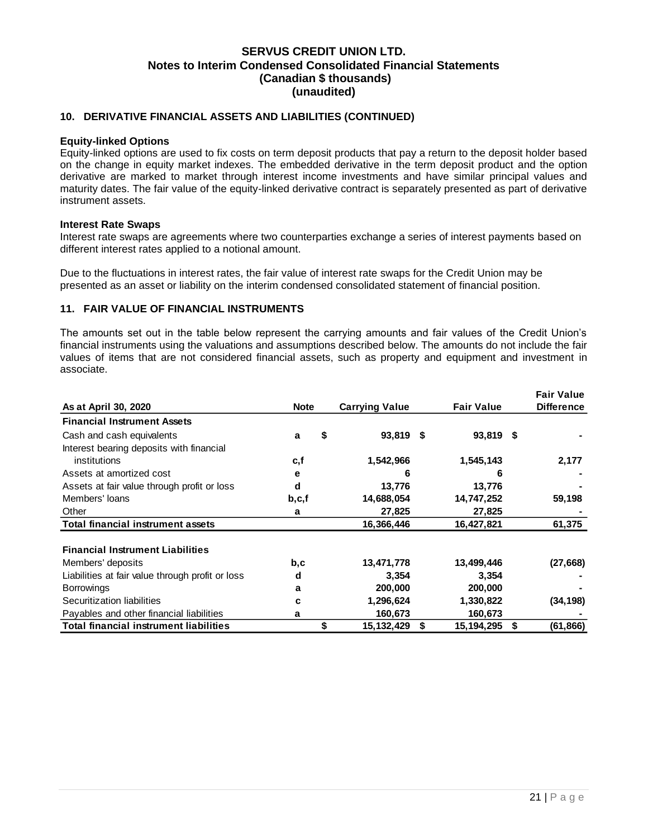#### **10. DERIVATIVE FINANCIAL ASSETS AND LIABILITIES (CONTINUED)**

#### **Equity-linked Options**

Equity-linked options are used to fix costs on term deposit products that pay a return to the deposit holder based on the change in equity market indexes. The embedded derivative in the term deposit product and the option derivative are marked to market through interest income investments and have similar principal values and maturity dates. The fair value of the equity-linked derivative contract is separately presented as part of derivative instrument assets.

#### **Interest Rate Swaps**

Interest rate swaps are agreements where two counterparties exchange a series of interest payments based on different interest rates applied to a notional amount.

Due to the fluctuations in interest rates, the fair value of interest rate swaps for the Credit Union may be presented as an asset or liability on the interim condensed consolidated statement of financial position.

#### <span id="page-21-0"></span>**11. FAIR VALUE OF FINANCIAL INSTRUMENTS**

The amounts set out in the table below represent the carrying amounts and fair values of the Credit Union's financial instruments using the valuations and assumptions described below. The amounts do not include the fair values of items that are not considered financial assets, such as property and equipment and investment in associate.

|                                                  |             |    |                       |   |                   | <b>Fair Value</b> |
|--------------------------------------------------|-------------|----|-----------------------|---|-------------------|-------------------|
| As at April 30, 2020                             | <b>Note</b> |    | <b>Carrying Value</b> |   | <b>Fair Value</b> | <b>Difference</b> |
| <b>Financial Instrument Assets</b>               |             |    |                       |   |                   |                   |
| Cash and cash equivalents                        | a           | \$ | 93,819 \$             |   | 93,819 \$         |                   |
| Interest bearing deposits with financial         |             |    |                       |   |                   |                   |
| institutions                                     | c,f         |    | 1,542,966             |   | 1,545,143         | 2,177             |
| Assets at amortized cost                         | е           |    | 6                     |   | 6                 |                   |
| Assets at fair value through profit or loss      | d           |    | 13,776                |   | 13,776            |                   |
| Members' loans                                   | b, c, f     |    | 14,688,054            |   | 14,747,252        | 59,198            |
| Other                                            | a           |    | 27,825                |   | 27,825            |                   |
| <b>Total financial instrument assets</b>         |             |    | 16,366,446            |   | 16,427,821        | 61,375            |
|                                                  |             |    |                       |   |                   |                   |
| <b>Financial Instrument Liabilities</b>          |             |    |                       |   |                   |                   |
| Members' deposits                                | b,c         |    | 13,471,778            |   | 13,499,446        | (27, 668)         |
| Liabilities at fair value through profit or loss | d           |    | 3,354                 |   | 3,354             |                   |
| <b>Borrowings</b>                                | a           |    | 200,000               |   | 200,000           |                   |
| Securitization liabilities                       | C           |    | 1,296,624             |   | 1,330,822         | (34, 198)         |
| Payables and other financial liabilities         | a           |    | 160,673               |   | 160,673           |                   |
| <b>Total financial instrument liabilities</b>    |             | \$ | 15,132,429            | S | 15,194,295        | \$<br>(61, 866)   |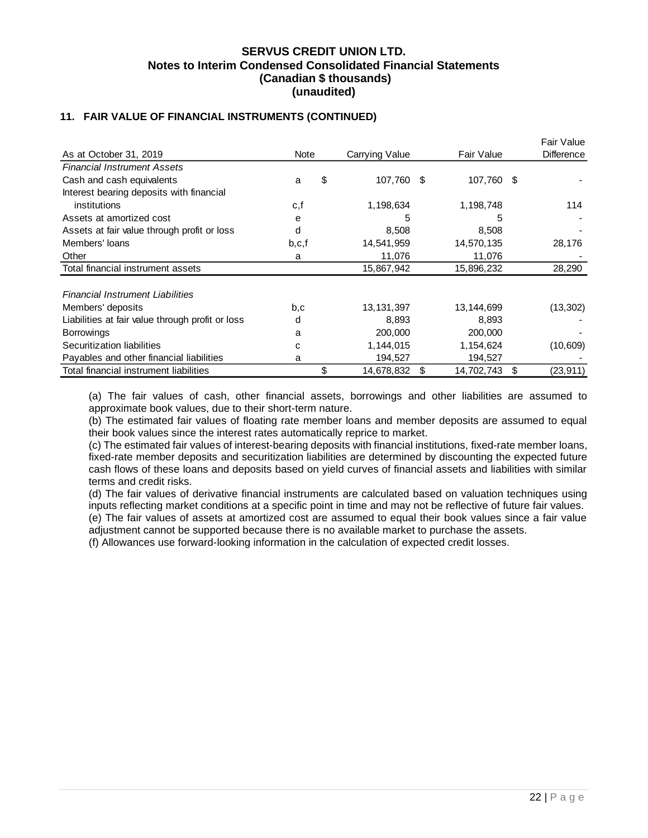## **11. FAIR VALUE OF FINANCIAL INSTRUMENTS (CONTINUED)**

|                                                  |         |    |                |            |            |      | Fair Value        |
|--------------------------------------------------|---------|----|----------------|------------|------------|------|-------------------|
| As at October 31, 2019                           | Note    |    | Carrying Value | Fair Value |            |      | <b>Difference</b> |
| <b>Financial Instrument Assets</b>               |         |    |                |            |            |      |                   |
| Cash and cash equivalents                        | a       | \$ | 107,760        | - \$       | 107,760    | - \$ |                   |
| Interest bearing deposits with financial         |         |    |                |            |            |      |                   |
| institutions                                     | c,f     |    | 1,198,634      |            | 1,198,748  |      | 114               |
| Assets at amortized cost                         | e       |    | 5              |            | 5          |      |                   |
| Assets at fair value through profit or loss      | d       |    | 8,508          |            | 8,508      |      |                   |
| Members' loans                                   | b, c, f |    | 14,541,959     |            | 14,570,135 |      | 28,176            |
| Other                                            | a       |    | 11,076         |            | 11,076     |      |                   |
| Total financial instrument assets                |         |    | 15,867,942     |            | 15,896,232 |      | 28,290            |
| <b>Financial Instrument Liabilities</b>          |         |    |                |            |            |      |                   |
| Members' deposits                                | b,c     |    | 13,131,397     |            | 13,144,699 |      | (13, 302)         |
| Liabilities at fair value through profit or loss | d       |    | 8,893          |            | 8,893      |      |                   |
| <b>Borrowings</b>                                | a       |    | 200,000        |            | 200,000    |      |                   |
| Securitization liabilities                       | C       |    | 1,144,015      |            | 1,154,624  |      | (10, 609)         |
| Payables and other financial liabilities         | a       |    | 194,527        |            | 194,527    |      |                   |
| Total financial instrument liabilities           |         | \$ | 14,678,832     | S          | 14,702,743 | \$   | (23, 911)         |

(a) The fair values of cash, other financial assets, borrowings and other liabilities are assumed to approximate book values, due to their short-term nature.

(b) The estimated fair values of floating rate member loans and member deposits are assumed to equal their book values since the interest rates automatically reprice to market.

(c) The estimated fair values of interest-bearing deposits with financial institutions, fixed-rate member loans, fixed-rate member deposits and securitization liabilities are determined by discounting the expected future cash flows of these loans and deposits based on yield curves of financial assets and liabilities with similar terms and credit risks.

(d) The fair values of derivative financial instruments are calculated based on valuation techniques using inputs reflecting market conditions at a specific point in time and may not be reflective of future fair values.

(e) The fair values of assets at amortized cost are assumed to equal their book values since a fair value adjustment cannot be supported because there is no available market to purchase the assets.

(f) Allowances use forward-looking information in the calculation of expected credit losses.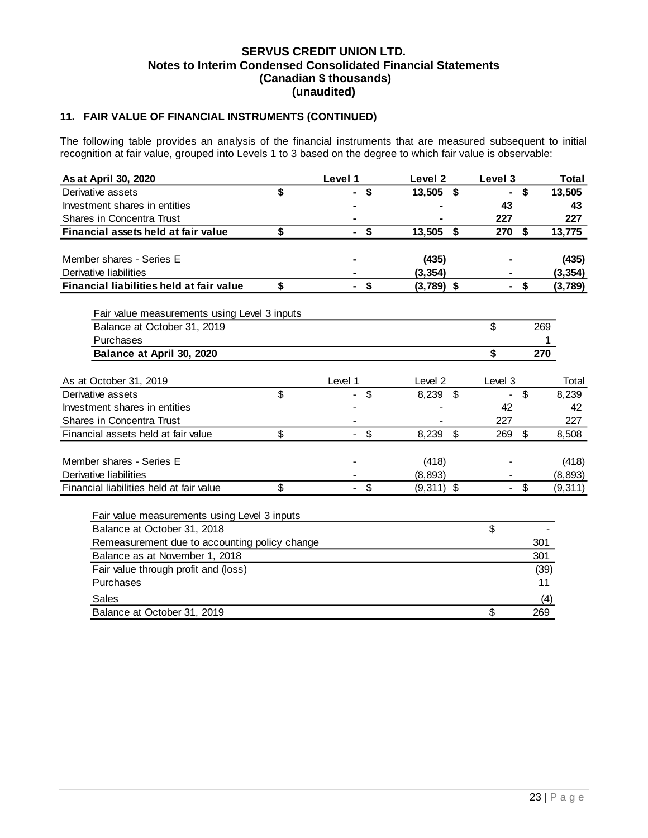# **11. FAIR VALUE OF FINANCIAL INSTRUMENTS (CONTINUED)**

The following table provides an analysis of the financial instruments that are measured subsequent to initial recognition at fair value, grouped into Levels 1 to 3 based on the degree to which fair value is observable:

| As at April 30, 2020                          | Level 1 |                           | Level 2      |                | Level 3 |                | <b>Total</b> |
|-----------------------------------------------|---------|---------------------------|--------------|----------------|---------|----------------|--------------|
| Derivative assets                             | \$      | S                         | 13,505       | \$             |         | \$             | 13,505       |
| Investment shares in entities                 |         |                           |              |                | 43      |                | 43           |
| <b>Shares in Concentra Trust</b>              |         |                           |              |                | 227     |                | 227          |
| Financial assets held at fair value           | \$      | $\boldsymbol{\mathsf{s}}$ | 13,505 \$    |                | 270     | \$             | 13,775       |
|                                               |         |                           |              |                |         |                |              |
| Member shares - Series E                      |         |                           | (435)        |                |         |                | (435)        |
| Derivative liabilities                        |         |                           | (3, 354)     |                |         |                | (3, 354)     |
| Financial liabilities held at fair value      | \$      | \$                        | $(3,789)$ \$ |                |         | \$             | (3,789)      |
|                                               |         |                           |              |                |         |                |              |
| Fair value measurements using Level 3 inputs  |         |                           |              |                |         |                |              |
| Balance at October 31, 2019                   |         |                           |              |                | \$      | 269            |              |
| Purchases                                     |         |                           |              |                |         |                |              |
| Balance at April 30, 2020                     |         |                           |              |                | \$      | 270            |              |
| As at October 31, 2019                        | Level 1 |                           | Level 2      |                | Level 3 |                | Total        |
| Derivative assets                             | \$      | \$                        | 8,239        | $\mathfrak{F}$ |         | \$             | 8,239        |
| Investment shares in entities                 |         |                           |              |                | 42      |                | 42           |
| Shares in Concentra Trust                     |         |                           |              |                | 227     |                | 227          |
| Financial assets held at fair value           | \$      | $\mathfrak{S}$            | 8,239        | $\mathfrak{F}$ | 269     | $\mathfrak{S}$ | 8,508        |
|                                               |         |                           |              |                |         |                |              |
| Member shares - Series E                      |         |                           | (418)        |                |         |                | (418)        |
| Derivative liabilities                        |         |                           | (8, 893)     |                |         |                | (8,893)      |
| Financial liabilities held at fair value      | \$      | \$                        | $(9,311)$ \$ |                |         | \$             | (9, 311)     |
|                                               |         |                           |              |                |         |                |              |
| Fair value measurements using Level 3 inputs  |         |                           |              |                |         |                |              |
| Balance at October 31, 2018                   |         |                           |              |                | \$      |                |              |
| Remeasurement due to accounting policy change |         |                           |              |                |         | 301            |              |
| Balance as at November 1, 2018                |         |                           |              |                |         | 301            |              |
| Fair value through profit and (loss)          |         |                           |              |                |         |                | (39)         |
| Purchases                                     |         |                           |              |                |         |                | 11           |
| Sales                                         |         |                           |              |                |         |                | (4)          |
| Balance at October 31, 2019                   |         |                           |              |                | \$      | 269            |              |